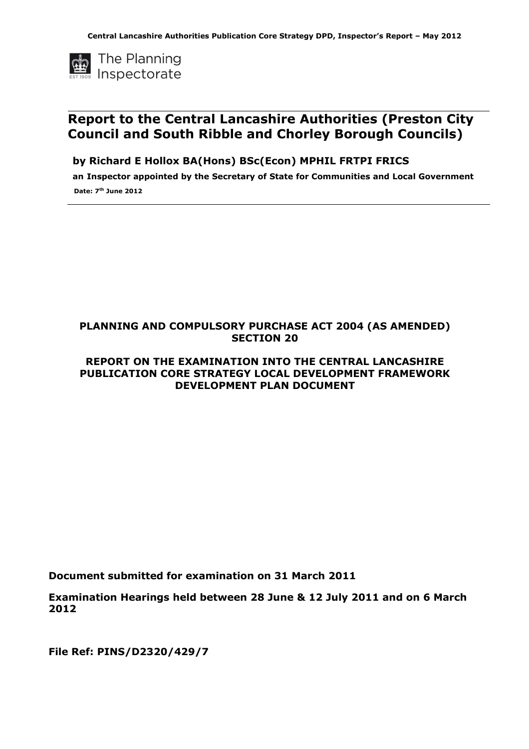

## Report to the Central Lancashire Authorities (Preston City Council and South Ribble and Chorley Borough Councils)

by Richard E Hollox BA(Hons) BSc(Econ) MPHIL FRTPI FRICS

an Inspector appointed by the Secretary of State for Communities and Local Government Date: 7<sup>th</sup> June 2012

## PLANNING AND COMPULSORY PURCHASE ACT 2004 (AS AMENDED) SECTION 20

## REPORT ON THE EXAMINATION INTO THE CENTRAL LANCASHIRE PUBLICATION CORE STRATEGY LOCAL DEVELOPMENT FRAMEWORK DEVELOPMENT PLAN DOCUMENT

Document submitted for examination on 31 March 2011

Examination Hearings held between 28 June & 12 July 2011 and on 6 March 2012

File Ref: PINS/D2320/429/7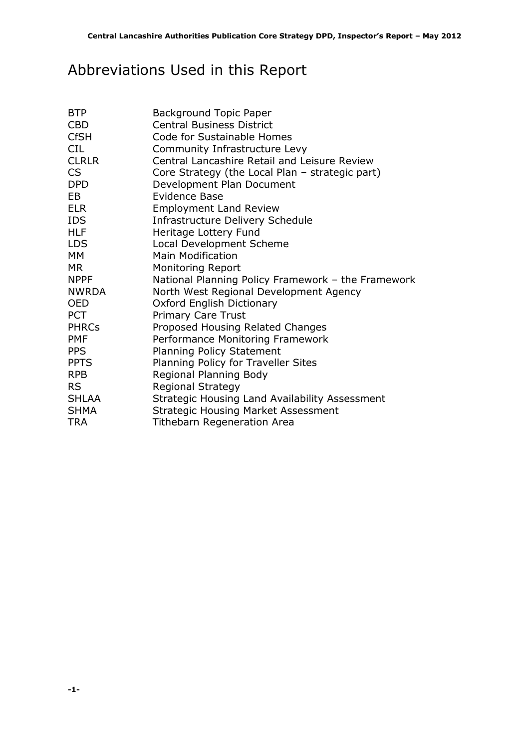# Abbreviations Used in this Report

| <b>BTP</b>   | <b>Background Topic Paper</b>                      |
|--------------|----------------------------------------------------|
| <b>CBD</b>   | <b>Central Business District</b>                   |
| <b>CfSH</b>  | Code for Sustainable Homes                         |
| <b>CIL</b>   | Community Infrastructure Levy                      |
| <b>CLRLR</b> | Central Lancashire Retail and Leisure Review       |
| CS           | Core Strategy (the Local Plan – strategic part)    |
| <b>DPD</b>   | Development Plan Document                          |
| <b>EB</b>    | Evidence Base                                      |
| <b>ELR</b>   | <b>Employment Land Review</b>                      |
| <b>IDS</b>   | Infrastructure Delivery Schedule                   |
| <b>HLF</b>   | Heritage Lottery Fund                              |
| <b>LDS</b>   | Local Development Scheme                           |
| МM           | <b>Main Modification</b>                           |
| <b>MR</b>    | <b>Monitoring Report</b>                           |
| <b>NPPF</b>  | National Planning Policy Framework - the Framework |
| NWRDA        | North West Regional Development Agency             |
| <b>OED</b>   | Oxford English Dictionary                          |
| <b>PCT</b>   | <b>Primary Care Trust</b>                          |
| <b>PHRCs</b> | Proposed Housing Related Changes                   |
| <b>PMF</b>   | Performance Monitoring Framework                   |
| <b>PPS</b>   | <b>Planning Policy Statement</b>                   |
| <b>PPTS</b>  | Planning Policy for Traveller Sites                |
| <b>RPB</b>   | Regional Planning Body                             |
| <b>RS</b>    | <b>Regional Strategy</b>                           |
| <b>SHLAA</b> | Strategic Housing Land Availability Assessment     |
| <b>SHMA</b>  | <b>Strategic Housing Market Assessment</b>         |
| <b>TRA</b>   | <b>Tithebarn Regeneration Area</b>                 |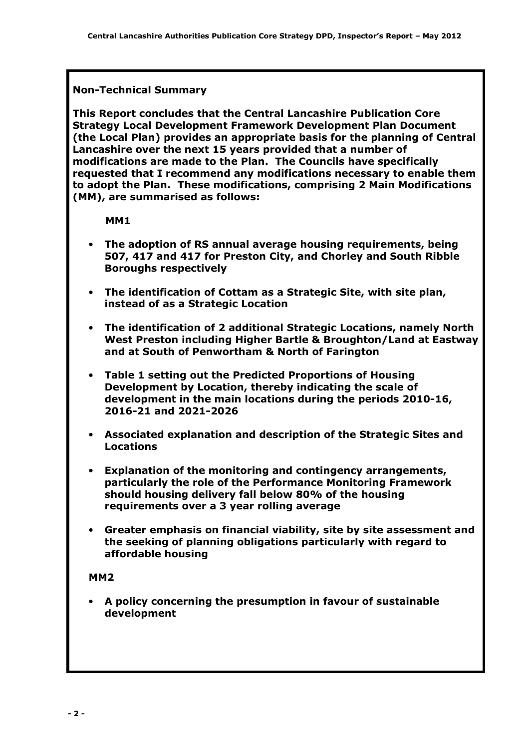## Non-Technical Summary

This Report concludes that the Central Lancashire Publication Core Strategy Local Development Framework Development Plan Document (the Local Plan) provides an appropriate basis for the planning of Central Lancashire over the next 15 years provided that a number of modifications are made to the Plan. The Councils have specifically requested that I recommend any modifications necessary to enable them to adopt the Plan. These modifications, comprising 2 Main Modifications (MM), are summarised as follows:

MM1

- The adoption of RS annual average housing requirements, being 507, 417 and 417 for Preston City, and Chorley and South Ribble Boroughs respectively
- The identification of Cottam as a Strategic Site, with site plan, instead of as a Strategic Location
- The identification of 2 additional Strategic Locations, namely North West Preston including Higher Bartle & Broughton/Land at Eastway and at South of Penwortham & North of Farington
- Table 1 setting out the Predicted Proportions of Housing Development by Location, thereby indicating the scale of development in the main locations during the periods 2010-16, 2016-21 and 2021-2026
- Associated explanation and description of the Strategic Sites and Locations
- Explanation of the monitoring and contingency arrangements, particularly the role of the Performance Monitoring Framework should housing delivery fall below 80% of the housing requirements over a 3 year rolling average
- Greater emphasis on financial viability, site by site assessment and the seeking of planning obligations particularly with regard to affordable housing

## MM2

• A policy concerning the presumption in favour of sustainable development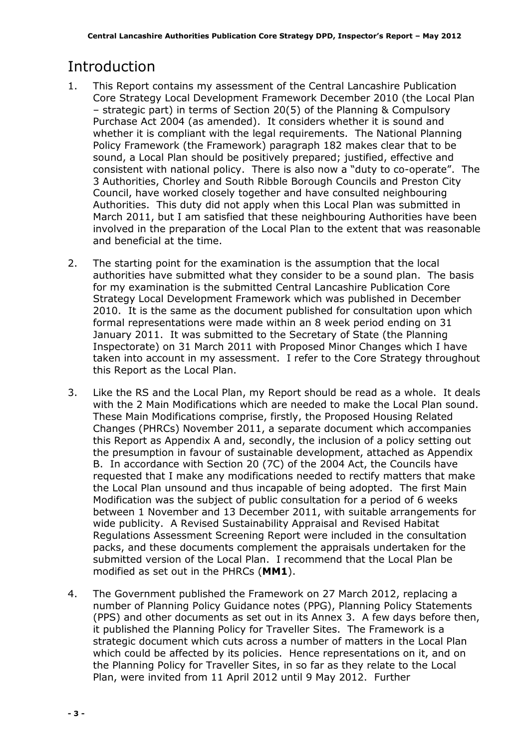# Introduction

- 1. This Report contains my assessment of the Central Lancashire Publication Core Strategy Local Development Framework December 2010 (the Local Plan – strategic part) in terms of Section 20(5) of the Planning & Compulsory Purchase Act 2004 (as amended). It considers whether it is sound and whether it is compliant with the legal requirements. The National Planning Policy Framework (the Framework) paragraph 182 makes clear that to be sound, a Local Plan should be positively prepared; justified, effective and consistent with national policy. There is also now a "duty to co-operate". The 3 Authorities, Chorley and South Ribble Borough Councils and Preston City Council, have worked closely together and have consulted neighbouring Authorities. This duty did not apply when this Local Plan was submitted in March 2011, but I am satisfied that these neighbouring Authorities have been involved in the preparation of the Local Plan to the extent that was reasonable and beneficial at the time.
- 2. The starting point for the examination is the assumption that the local authorities have submitted what they consider to be a sound plan. The basis for my examination is the submitted Central Lancashire Publication Core Strategy Local Development Framework which was published in December 2010. It is the same as the document published for consultation upon which formal representations were made within an 8 week period ending on 31 January 2011. It was submitted to the Secretary of State (the Planning Inspectorate) on 31 March 2011 with Proposed Minor Changes which I have taken into account in my assessment. I refer to the Core Strategy throughout this Report as the Local Plan.
- 3. Like the RS and the Local Plan, my Report should be read as a whole. It deals with the 2 Main Modifications which are needed to make the Local Plan sound. These Main Modifications comprise, firstly, the Proposed Housing Related Changes (PHRCs) November 2011, a separate document which accompanies this Report as Appendix A and, secondly, the inclusion of a policy setting out the presumption in favour of sustainable development, attached as Appendix B. In accordance with Section 20 (7C) of the 2004 Act, the Councils have requested that I make any modifications needed to rectify matters that make the Local Plan unsound and thus incapable of being adopted. The first Main Modification was the subject of public consultation for a period of 6 weeks between 1 November and 13 December 2011, with suitable arrangements for wide publicity. A Revised Sustainability Appraisal and Revised Habitat Regulations Assessment Screening Report were included in the consultation packs, and these documents complement the appraisals undertaken for the submitted version of the Local Plan. I recommend that the Local Plan be modified as set out in the PHRCs (MM1).
- 4. The Government published the Framework on 27 March 2012, replacing a number of Planning Policy Guidance notes (PPG), Planning Policy Statements (PPS) and other documents as set out in its Annex 3. A few days before then, it published the Planning Policy for Traveller Sites. The Framework is a strategic document which cuts across a number of matters in the Local Plan which could be affected by its policies. Hence representations on it, and on the Planning Policy for Traveller Sites, in so far as they relate to the Local Plan, were invited from 11 April 2012 until 9 May 2012. Further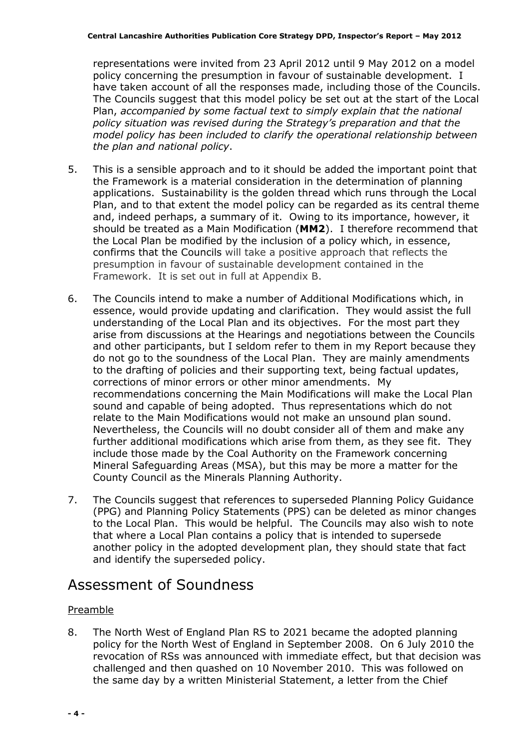representations were invited from 23 April 2012 until 9 May 2012 on a model policy concerning the presumption in favour of sustainable development. I have taken account of all the responses made, including those of the Councils. The Councils suggest that this model policy be set out at the start of the Local Plan, accompanied by some factual text to simply explain that the national policy situation was revised during the Strategy's preparation and that the model policy has been included to clarify the operational relationship between the plan and national policy.

- 5. This is a sensible approach and to it should be added the important point that the Framework is a material consideration in the determination of planning applications. Sustainability is the golden thread which runs through the Local Plan, and to that extent the model policy can be regarded as its central theme and, indeed perhaps, a summary of it. Owing to its importance, however, it should be treated as a Main Modification (MM2). I therefore recommend that the Local Plan be modified by the inclusion of a policy which, in essence, confirms that the Councils will take a positive approach that reflects the presumption in favour of sustainable development contained in the Framework. It is set out in full at Appendix B.
- 6. The Councils intend to make a number of Additional Modifications which, in essence, would provide updating and clarification. They would assist the full understanding of the Local Plan and its objectives. For the most part they arise from discussions at the Hearings and negotiations between the Councils and other participants, but I seldom refer to them in my Report because they do not go to the soundness of the Local Plan. They are mainly amendments to the drafting of policies and their supporting text, being factual updates, corrections of minor errors or other minor amendments. My recommendations concerning the Main Modifications will make the Local Plan sound and capable of being adopted. Thus representations which do not relate to the Main Modifications would not make an unsound plan sound. Nevertheless, the Councils will no doubt consider all of them and make any further additional modifications which arise from them, as they see fit. They include those made by the Coal Authority on the Framework concerning Mineral Safeguarding Areas (MSA), but this may be more a matter for the County Council as the Minerals Planning Authority.
- 7. The Councils suggest that references to superseded Planning Policy Guidance (PPG) and Planning Policy Statements (PPS) can be deleted as minor changes to the Local Plan. This would be helpful. The Councils may also wish to note that where a Local Plan contains a policy that is intended to supersede another policy in the adopted development plan, they should state that fact and identify the superseded policy.

## Assessment of Soundness

## Preamble

8. The North West of England Plan RS to 2021 became the adopted planning policy for the North West of England in September 2008. On 6 July 2010 the revocation of RSs was announced with immediate effect, but that decision was challenged and then quashed on 10 November 2010. This was followed on the same day by a written Ministerial Statement, a letter from the Chief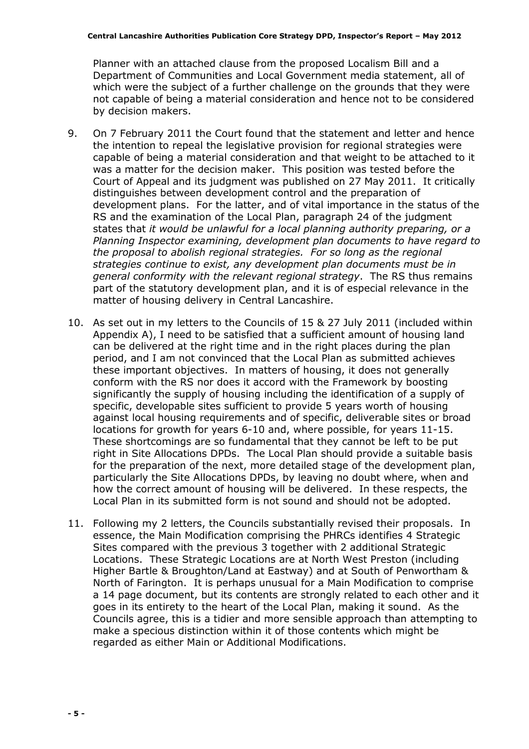Planner with an attached clause from the proposed Localism Bill and a Department of Communities and Local Government media statement, all of which were the subject of a further challenge on the grounds that they were not capable of being a material consideration and hence not to be considered by decision makers.

- 9. On 7 February 2011 the Court found that the statement and letter and hence the intention to repeal the legislative provision for regional strategies were capable of being a material consideration and that weight to be attached to it was a matter for the decision maker. This position was tested before the Court of Appeal and its judgment was published on 27 May 2011. It critically distinguishes between development control and the preparation of development plans. For the latter, and of vital importance in the status of the RS and the examination of the Local Plan, paragraph 24 of the judgment states that it would be unlawful for a local planning authority preparing, or a Planning Inspector examining, development plan documents to have regard to the proposal to abolish regional strategies. For so long as the regional strategies continue to exist, any development plan documents must be in general conformity with the relevant regional strategy. The RS thus remains part of the statutory development plan, and it is of especial relevance in the matter of housing delivery in Central Lancashire.
- 10. As set out in my letters to the Councils of 15 & 27 July 2011 (included within Appendix A), I need to be satisfied that a sufficient amount of housing land can be delivered at the right time and in the right places during the plan period, and I am not convinced that the Local Plan as submitted achieves these important objectives. In matters of housing, it does not generally conform with the RS nor does it accord with the Framework by boosting significantly the supply of housing including the identification of a supply of specific, developable sites sufficient to provide 5 years worth of housing against local housing requirements and of specific, deliverable sites or broad locations for growth for years 6-10 and, where possible, for years 11-15. These shortcomings are so fundamental that they cannot be left to be put right in Site Allocations DPDs. The Local Plan should provide a suitable basis for the preparation of the next, more detailed stage of the development plan, particularly the Site Allocations DPDs, by leaving no doubt where, when and how the correct amount of housing will be delivered. In these respects, the Local Plan in its submitted form is not sound and should not be adopted.
- 11. Following my 2 letters, the Councils substantially revised their proposals. In essence, the Main Modification comprising the PHRCs identifies 4 Strategic Sites compared with the previous 3 together with 2 additional Strategic Locations. These Strategic Locations are at North West Preston (including Higher Bartle & Broughton/Land at Eastway) and at South of Penwortham & North of Farington. It is perhaps unusual for a Main Modification to comprise a 14 page document, but its contents are strongly related to each other and it goes in its entirety to the heart of the Local Plan, making it sound. As the Councils agree, this is a tidier and more sensible approach than attempting to make a specious distinction within it of those contents which might be regarded as either Main or Additional Modifications.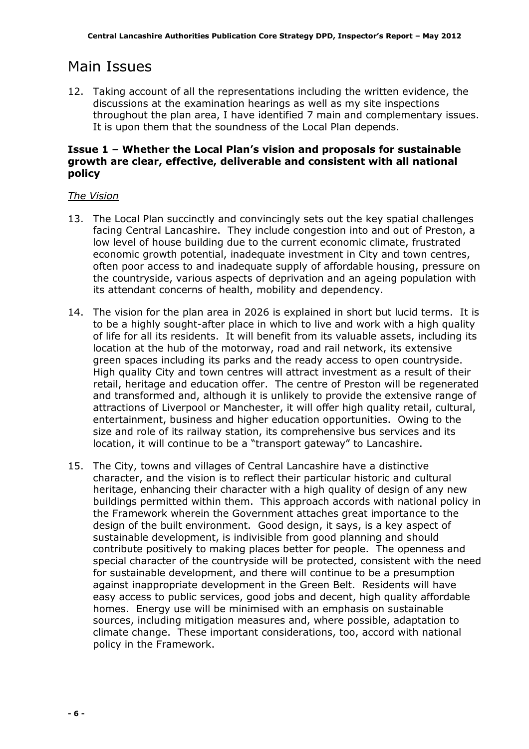## Main Issues

12. Taking account of all the representations including the written evidence, the discussions at the examination hearings as well as my site inspections throughout the plan area, I have identified 7 main and complementary issues. It is upon them that the soundness of the Local Plan depends.

## Issue 1 – Whether the Local Plan's vision and proposals for sustainable growth are clear, effective, deliverable and consistent with all national policy

## The Vision

- 13. The Local Plan succinctly and convincingly sets out the key spatial challenges facing Central Lancashire. They include congestion into and out of Preston, a low level of house building due to the current economic climate, frustrated economic growth potential, inadequate investment in City and town centres, often poor access to and inadequate supply of affordable housing, pressure on the countryside, various aspects of deprivation and an ageing population with its attendant concerns of health, mobility and dependency.
- 14. The vision for the plan area in 2026 is explained in short but lucid terms. It is to be a highly sought-after place in which to live and work with a high quality of life for all its residents. It will benefit from its valuable assets, including its location at the hub of the motorway, road and rail network, its extensive green spaces including its parks and the ready access to open countryside. High quality City and town centres will attract investment as a result of their retail, heritage and education offer. The centre of Preston will be regenerated and transformed and, although it is unlikely to provide the extensive range of attractions of Liverpool or Manchester, it will offer high quality retail, cultural, entertainment, business and higher education opportunities. Owing to the size and role of its railway station, its comprehensive bus services and its location, it will continue to be a "transport gateway" to Lancashire.
- 15. The City, towns and villages of Central Lancashire have a distinctive character, and the vision is to reflect their particular historic and cultural heritage, enhancing their character with a high quality of design of any new buildings permitted within them. This approach accords with national policy in the Framework wherein the Government attaches great importance to the design of the built environment. Good design, it says, is a key aspect of sustainable development, is indivisible from good planning and should contribute positively to making places better for people. The openness and special character of the countryside will be protected, consistent with the need for sustainable development, and there will continue to be a presumption against inappropriate development in the Green Belt. Residents will have easy access to public services, good jobs and decent, high quality affordable homes. Energy use will be minimised with an emphasis on sustainable sources, including mitigation measures and, where possible, adaptation to climate change. These important considerations, too, accord with national policy in the Framework.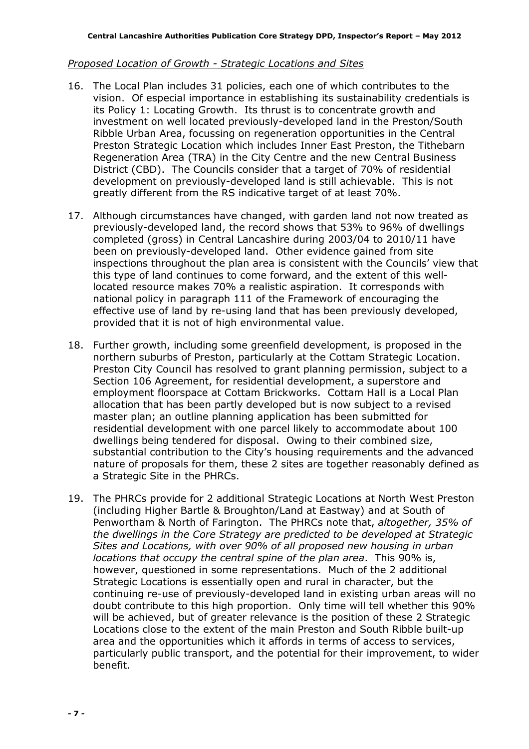#### Proposed Location of Growth - Strategic Locations and Sites

- 16. The Local Plan includes 31 policies, each one of which contributes to the vision. Of especial importance in establishing its sustainability credentials is its Policy 1: Locating Growth. Its thrust is to concentrate growth and investment on well located previously-developed land in the Preston/South Ribble Urban Area, focussing on regeneration opportunities in the Central Preston Strategic Location which includes Inner East Preston, the Tithebarn Regeneration Area (TRA) in the City Centre and the new Central Business District (CBD). The Councils consider that a target of 70% of residential development on previously-developed land is still achievable. This is not greatly different from the RS indicative target of at least 70%.
- 17. Although circumstances have changed, with garden land not now treated as previously-developed land, the record shows that 53% to 96% of dwellings completed (gross) in Central Lancashire during 2003/04 to 2010/11 have been on previously-developed land. Other evidence gained from site inspections throughout the plan area is consistent with the Councils' view that this type of land continues to come forward, and the extent of this welllocated resource makes 70% a realistic aspiration. It corresponds with national policy in paragraph 111 of the Framework of encouraging the effective use of land by re-using land that has been previously developed, provided that it is not of high environmental value.
- 18. Further growth, including some greenfield development, is proposed in the northern suburbs of Preston, particularly at the Cottam Strategic Location. Preston City Council has resolved to grant planning permission, subject to a Section 106 Agreement, for residential development, a superstore and employment floorspace at Cottam Brickworks. Cottam Hall is a Local Plan allocation that has been partly developed but is now subject to a revised master plan; an outline planning application has been submitted for residential development with one parcel likely to accommodate about 100 dwellings being tendered for disposal. Owing to their combined size, substantial contribution to the City's housing requirements and the advanced nature of proposals for them, these 2 sites are together reasonably defined as a Strategic Site in the PHRCs.
- 19. The PHRCs provide for 2 additional Strategic Locations at North West Preston (including Higher Bartle & Broughton/Land at Eastway) and at South of Penwortham & North of Farington. The PHRCs note that, altogether, 35% of the dwellings in the Core Strategy are predicted to be developed at Strategic Sites and Locations, with over 90% of all proposed new housing in urban locations that occupy the central spine of the plan area. This 90% is, however, questioned in some representations. Much of the 2 additional Strategic Locations is essentially open and rural in character, but the continuing re-use of previously-developed land in existing urban areas will no doubt contribute to this high proportion. Only time will tell whether this 90% will be achieved, but of greater relevance is the position of these 2 Strategic Locations close to the extent of the main Preston and South Ribble built-up area and the opportunities which it affords in terms of access to services, particularly public transport, and the potential for their improvement, to wider benefit.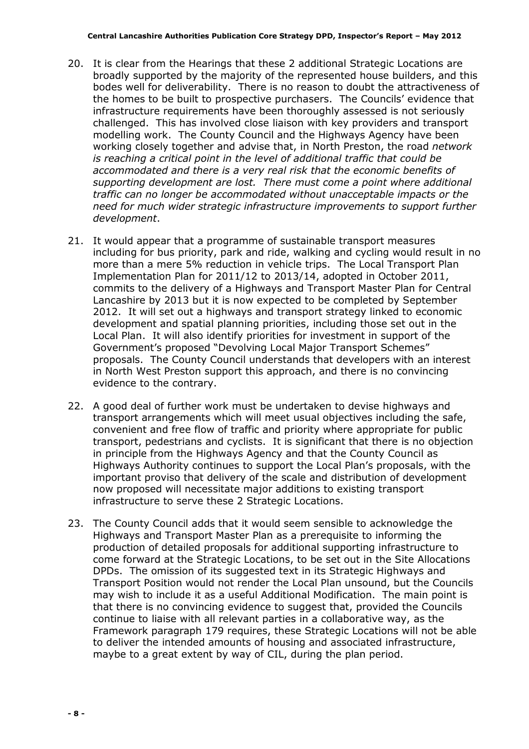- 20. It is clear from the Hearings that these 2 additional Strategic Locations are broadly supported by the majority of the represented house builders, and this bodes well for deliverability. There is no reason to doubt the attractiveness of the homes to be built to prospective purchasers. The Councils' evidence that infrastructure requirements have been thoroughly assessed is not seriously challenged. This has involved close liaison with key providers and transport modelling work. The County Council and the Highways Agency have been working closely together and advise that, in North Preston, the road network is reaching a critical point in the level of additional traffic that could be accommodated and there is a very real risk that the economic benefits of supporting development are lost. There must come a point where additional traffic can no longer be accommodated without unacceptable impacts or the need for much wider strategic infrastructure improvements to support further development.
- 21. It would appear that a programme of sustainable transport measures including for bus priority, park and ride, walking and cycling would result in no more than a mere 5% reduction in vehicle trips. The Local Transport Plan Implementation Plan for 2011/12 to 2013/14, adopted in October 2011, commits to the delivery of a Highways and Transport Master Plan for Central Lancashire by 2013 but it is now expected to be completed by September 2012. It will set out a highways and transport strategy linked to economic development and spatial planning priorities, including those set out in the Local Plan. It will also identify priorities for investment in support of the Government's proposed "Devolving Local Major Transport Schemes" proposals. The County Council understands that developers with an interest in North West Preston support this approach, and there is no convincing evidence to the contrary.
- 22. A good deal of further work must be undertaken to devise highways and transport arrangements which will meet usual objectives including the safe, convenient and free flow of traffic and priority where appropriate for public transport, pedestrians and cyclists. It is significant that there is no objection in principle from the Highways Agency and that the County Council as Highways Authority continues to support the Local Plan's proposals, with the important proviso that delivery of the scale and distribution of development now proposed will necessitate major additions to existing transport infrastructure to serve these 2 Strategic Locations.
- 23. The County Council adds that it would seem sensible to acknowledge the Highways and Transport Master Plan as a prerequisite to informing the production of detailed proposals for additional supporting infrastructure to come forward at the Strategic Locations, to be set out in the Site Allocations DPDs. The omission of its suggested text in its Strategic Highways and Transport Position would not render the Local Plan unsound, but the Councils may wish to include it as a useful Additional Modification. The main point is that there is no convincing evidence to suggest that, provided the Councils continue to liaise with all relevant parties in a collaborative way, as the Framework paragraph 179 requires, these Strategic Locations will not be able to deliver the intended amounts of housing and associated infrastructure, maybe to a great extent by way of CIL, during the plan period.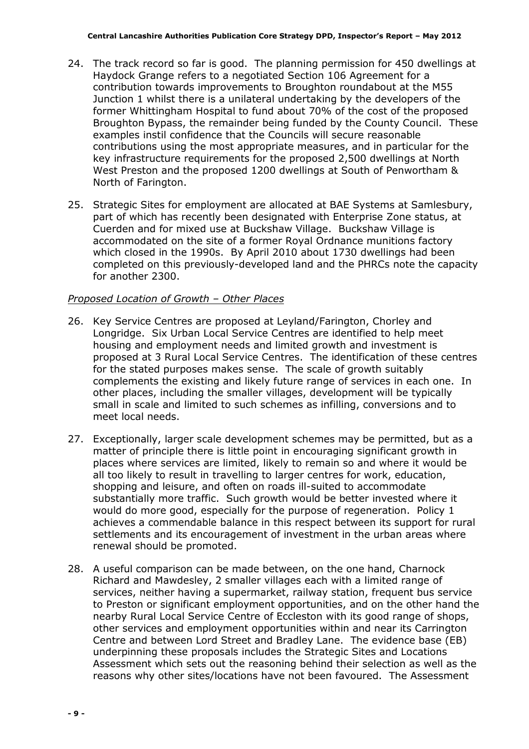- 24. The track record so far is good. The planning permission for 450 dwellings at Haydock Grange refers to a negotiated Section 106 Agreement for a contribution towards improvements to Broughton roundabout at the M55 Junction 1 whilst there is a unilateral undertaking by the developers of the former Whittingham Hospital to fund about 70% of the cost of the proposed Broughton Bypass, the remainder being funded by the County Council. These examples instil confidence that the Councils will secure reasonable contributions using the most appropriate measures, and in particular for the key infrastructure requirements for the proposed 2,500 dwellings at North West Preston and the proposed 1200 dwellings at South of Penwortham & North of Farington.
- 25. Strategic Sites for employment are allocated at BAE Systems at Samlesbury, part of which has recently been designated with Enterprise Zone status, at Cuerden and for mixed use at Buckshaw Village. Buckshaw Village is accommodated on the site of a former Royal Ordnance munitions factory which closed in the 1990s. By April 2010 about 1730 dwellings had been completed on this previously-developed land and the PHRCs note the capacity for another 2300.

#### Proposed Location of Growth – Other Places

- 26. Key Service Centres are proposed at Leyland/Farington, Chorley and Longridge. Six Urban Local Service Centres are identified to help meet housing and employment needs and limited growth and investment is proposed at 3 Rural Local Service Centres. The identification of these centres for the stated purposes makes sense. The scale of growth suitably complements the existing and likely future range of services in each one. In other places, including the smaller villages, development will be typically small in scale and limited to such schemes as infilling, conversions and to meet local needs.
- 27. Exceptionally, larger scale development schemes may be permitted, but as a matter of principle there is little point in encouraging significant growth in places where services are limited, likely to remain so and where it would be all too likely to result in travelling to larger centres for work, education, shopping and leisure, and often on roads ill-suited to accommodate substantially more traffic. Such growth would be better invested where it would do more good, especially for the purpose of regeneration. Policy 1 achieves a commendable balance in this respect between its support for rural settlements and its encouragement of investment in the urban areas where renewal should be promoted.
- 28. A useful comparison can be made between, on the one hand, Charnock Richard and Mawdesley, 2 smaller villages each with a limited range of services, neither having a supermarket, railway station, frequent bus service to Preston or significant employment opportunities, and on the other hand the nearby Rural Local Service Centre of Eccleston with its good range of shops, other services and employment opportunities within and near its Carrington Centre and between Lord Street and Bradley Lane. The evidence base (EB) underpinning these proposals includes the Strategic Sites and Locations Assessment which sets out the reasoning behind their selection as well as the reasons why other sites/locations have not been favoured. The Assessment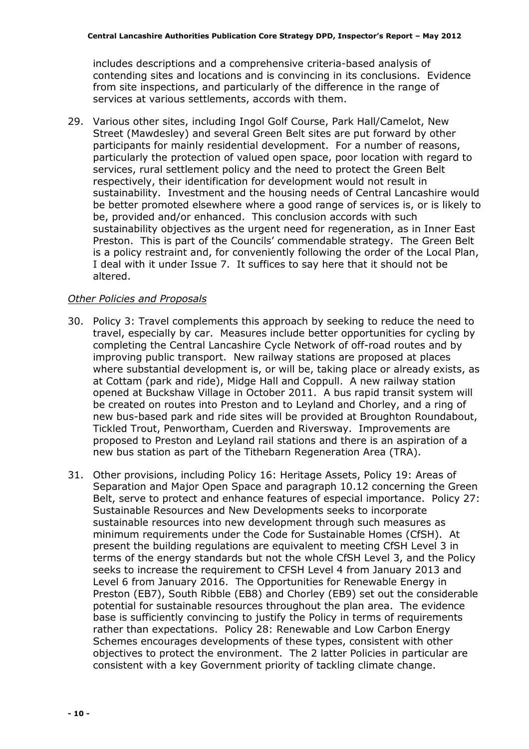includes descriptions and a comprehensive criteria-based analysis of contending sites and locations and is convincing in its conclusions. Evidence from site inspections, and particularly of the difference in the range of services at various settlements, accords with them.

29. Various other sites, including Ingol Golf Course, Park Hall/Camelot, New Street (Mawdesley) and several Green Belt sites are put forward by other participants for mainly residential development. For a number of reasons, particularly the protection of valued open space, poor location with regard to services, rural settlement policy and the need to protect the Green Belt respectively, their identification for development would not result in sustainability. Investment and the housing needs of Central Lancashire would be better promoted elsewhere where a good range of services is, or is likely to be, provided and/or enhanced. This conclusion accords with such sustainability objectives as the urgent need for regeneration, as in Inner East Preston. This is part of the Councils' commendable strategy. The Green Belt is a policy restraint and, for conveniently following the order of the Local Plan, I deal with it under Issue 7. It suffices to say here that it should not be altered.

#### Other Policies and Proposals

- 30. Policy 3: Travel complements this approach by seeking to reduce the need to travel, especially by car. Measures include better opportunities for cycling by completing the Central Lancashire Cycle Network of off-road routes and by improving public transport. New railway stations are proposed at places where substantial development is, or will be, taking place or already exists, as at Cottam (park and ride), Midge Hall and Coppull. A new railway station opened at Buckshaw Village in October 2011. A bus rapid transit system will be created on routes into Preston and to Leyland and Chorley, and a ring of new bus-based park and ride sites will be provided at Broughton Roundabout, Tickled Trout, Penwortham, Cuerden and Riversway. Improvements are proposed to Preston and Leyland rail stations and there is an aspiration of a new bus station as part of the Tithebarn Regeneration Area (TRA).
- 31. Other provisions, including Policy 16: Heritage Assets, Policy 19: Areas of Separation and Major Open Space and paragraph 10.12 concerning the Green Belt, serve to protect and enhance features of especial importance. Policy 27: Sustainable Resources and New Developments seeks to incorporate sustainable resources into new development through such measures as minimum requirements under the Code for Sustainable Homes (CfSH). At present the building regulations are equivalent to meeting CfSH Level 3 in terms of the energy standards but not the whole CfSH Level 3, and the Policy seeks to increase the requirement to CFSH Level 4 from January 2013 and Level 6 from January 2016. The Opportunities for Renewable Energy in Preston (EB7), South Ribble (EB8) and Chorley (EB9) set out the considerable potential for sustainable resources throughout the plan area. The evidence base is sufficiently convincing to justify the Policy in terms of requirements rather than expectations. Policy 28: Renewable and Low Carbon Energy Schemes encourages developments of these types, consistent with other objectives to protect the environment. The 2 latter Policies in particular are consistent with a key Government priority of tackling climate change.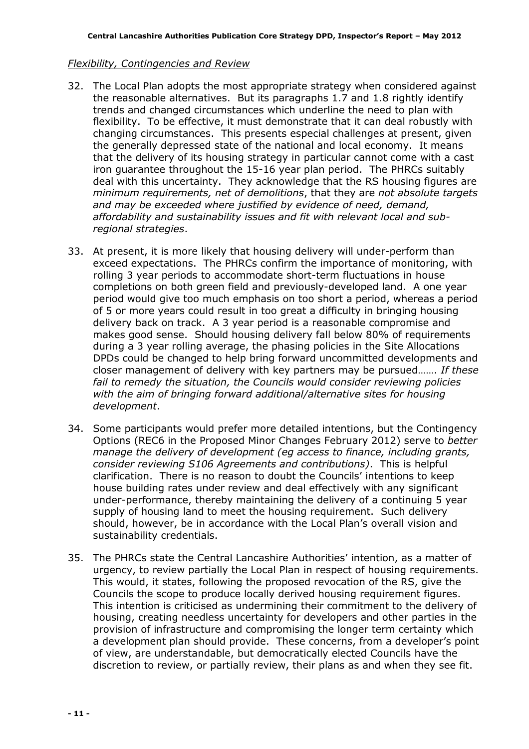#### Flexibility, Contingencies and Review

- 32. The Local Plan adopts the most appropriate strategy when considered against the reasonable alternatives. But its paragraphs 1.7 and 1.8 rightly identify trends and changed circumstances which underline the need to plan with flexibility. To be effective, it must demonstrate that it can deal robustly with changing circumstances. This presents especial challenges at present, given the generally depressed state of the national and local economy. It means that the delivery of its housing strategy in particular cannot come with a cast iron guarantee throughout the 15-16 year plan period. The PHRCs suitably deal with this uncertainty. They acknowledge that the RS housing figures are minimum requirements, net of demolitions, that they are not absolute targets and may be exceeded where justified by evidence of need, demand, affordability and sustainability issues and fit with relevant local and subregional strategies.
- 33. At present, it is more likely that housing delivery will under-perform than exceed expectations. The PHRCs confirm the importance of monitoring, with rolling 3 year periods to accommodate short-term fluctuations in house completions on both green field and previously-developed land. A one year period would give too much emphasis on too short a period, whereas a period of 5 or more years could result in too great a difficulty in bringing housing delivery back on track. A 3 year period is a reasonable compromise and makes good sense. Should housing delivery fall below 80% of requirements during a 3 year rolling average, the phasing policies in the Site Allocations DPDs could be changed to help bring forward uncommitted developments and closer management of delivery with key partners may be pursued……. If these fail to remedy the situation, the Councils would consider reviewing policies with the aim of bringing forward additional/alternative sites for housing development.
- 34. Some participants would prefer more detailed intentions, but the Contingency Options (REC6 in the Proposed Minor Changes February 2012) serve to better manage the delivery of development (eg access to finance, including grants, consider reviewing S106 Agreements and contributions). This is helpful clarification. There is no reason to doubt the Councils' intentions to keep house building rates under review and deal effectively with any significant under-performance, thereby maintaining the delivery of a continuing 5 year supply of housing land to meet the housing requirement. Such delivery should, however, be in accordance with the Local Plan's overall vision and sustainability credentials.
- 35. The PHRCs state the Central Lancashire Authorities' intention, as a matter of urgency, to review partially the Local Plan in respect of housing requirements. This would, it states, following the proposed revocation of the RS, give the Councils the scope to produce locally derived housing requirement figures. This intention is criticised as undermining their commitment to the delivery of housing, creating needless uncertainty for developers and other parties in the provision of infrastructure and compromising the longer term certainty which a development plan should provide. These concerns, from a developer's point of view, are understandable, but democratically elected Councils have the discretion to review, or partially review, their plans as and when they see fit.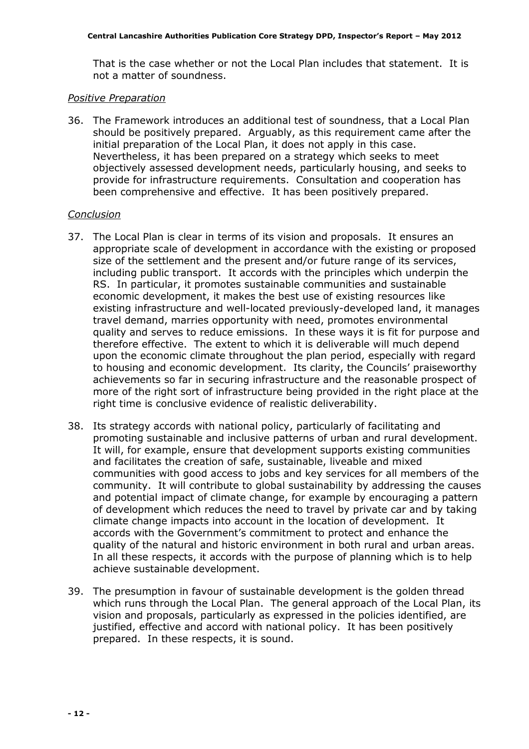That is the case whether or not the Local Plan includes that statement. It is not a matter of soundness.

#### Positive Preparation

36. The Framework introduces an additional test of soundness, that a Local Plan should be positively prepared. Arguably, as this requirement came after the initial preparation of the Local Plan, it does not apply in this case. Nevertheless, it has been prepared on a strategy which seeks to meet objectively assessed development needs, particularly housing, and seeks to provide for infrastructure requirements. Consultation and cooperation has been comprehensive and effective. It has been positively prepared.

#### Conclusion

- 37. The Local Plan is clear in terms of its vision and proposals. It ensures an appropriate scale of development in accordance with the existing or proposed size of the settlement and the present and/or future range of its services, including public transport. It accords with the principles which underpin the RS. In particular, it promotes sustainable communities and sustainable economic development, it makes the best use of existing resources like existing infrastructure and well-located previously-developed land, it manages travel demand, marries opportunity with need, promotes environmental quality and serves to reduce emissions. In these ways it is fit for purpose and therefore effective. The extent to which it is deliverable will much depend upon the economic climate throughout the plan period, especially with regard to housing and economic development. Its clarity, the Councils' praiseworthy achievements so far in securing infrastructure and the reasonable prospect of more of the right sort of infrastructure being provided in the right place at the right time is conclusive evidence of realistic deliverability.
- 38. Its strategy accords with national policy, particularly of facilitating and promoting sustainable and inclusive patterns of urban and rural development. It will, for example, ensure that development supports existing communities and facilitates the creation of safe, sustainable, liveable and mixed communities with good access to jobs and key services for all members of the community. It will contribute to global sustainability by addressing the causes and potential impact of climate change, for example by encouraging a pattern of development which reduces the need to travel by private car and by taking climate change impacts into account in the location of development. It accords with the Government's commitment to protect and enhance the quality of the natural and historic environment in both rural and urban areas. In all these respects, it accords with the purpose of planning which is to help achieve sustainable development.
- 39. The presumption in favour of sustainable development is the golden thread which runs through the Local Plan. The general approach of the Local Plan, its vision and proposals, particularly as expressed in the policies identified, are justified, effective and accord with national policy. It has been positively prepared. In these respects, it is sound.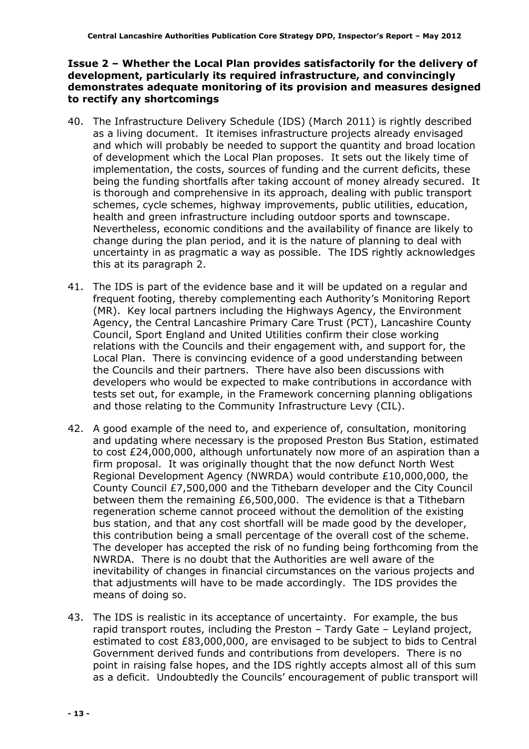#### Issue 2 – Whether the Local Plan provides satisfactorily for the delivery of development, particularly its required infrastructure, and convincingly demonstrates adequate monitoring of its provision and measures designed to rectify any shortcomings

- 40. The Infrastructure Delivery Schedule (IDS) (March 2011) is rightly described as a living document. It itemises infrastructure projects already envisaged and which will probably be needed to support the quantity and broad location of development which the Local Plan proposes. It sets out the likely time of implementation, the costs, sources of funding and the current deficits, these being the funding shortfalls after taking account of money already secured. It is thorough and comprehensive in its approach, dealing with public transport schemes, cycle schemes, highway improvements, public utilities, education, health and green infrastructure including outdoor sports and townscape. Nevertheless, economic conditions and the availability of finance are likely to change during the plan period, and it is the nature of planning to deal with uncertainty in as pragmatic a way as possible. The IDS rightly acknowledges this at its paragraph 2.
- 41. The IDS is part of the evidence base and it will be updated on a regular and frequent footing, thereby complementing each Authority's Monitoring Report (MR). Key local partners including the Highways Agency, the Environment Agency, the Central Lancashire Primary Care Trust (PCT), Lancashire County Council, Sport England and United Utilities confirm their close working relations with the Councils and their engagement with, and support for, the Local Plan. There is convincing evidence of a good understanding between the Councils and their partners. There have also been discussions with developers who would be expected to make contributions in accordance with tests set out, for example, in the Framework concerning planning obligations and those relating to the Community Infrastructure Levy (CIL).
- 42. A good example of the need to, and experience of, consultation, monitoring and updating where necessary is the proposed Preston Bus Station, estimated to cost £24,000,000, although unfortunately now more of an aspiration than a firm proposal. It was originally thought that the now defunct North West Regional Development Agency (NWRDA) would contribute £10,000,000, the County Council £7,500,000 and the Tithebarn developer and the City Council between them the remaining £6,500,000. The evidence is that a Tithebarn regeneration scheme cannot proceed without the demolition of the existing bus station, and that any cost shortfall will be made good by the developer, this contribution being a small percentage of the overall cost of the scheme. The developer has accepted the risk of no funding being forthcoming from the NWRDA. There is no doubt that the Authorities are well aware of the inevitability of changes in financial circumstances on the various projects and that adjustments will have to be made accordingly. The IDS provides the means of doing so.
- 43. The IDS is realistic in its acceptance of uncertainty. For example, the bus rapid transport routes, including the Preston – Tardy Gate – Leyland project, estimated to cost £83,000,000, are envisaged to be subject to bids to Central Government derived funds and contributions from developers. There is no point in raising false hopes, and the IDS rightly accepts almost all of this sum as a deficit. Undoubtedly the Councils' encouragement of public transport will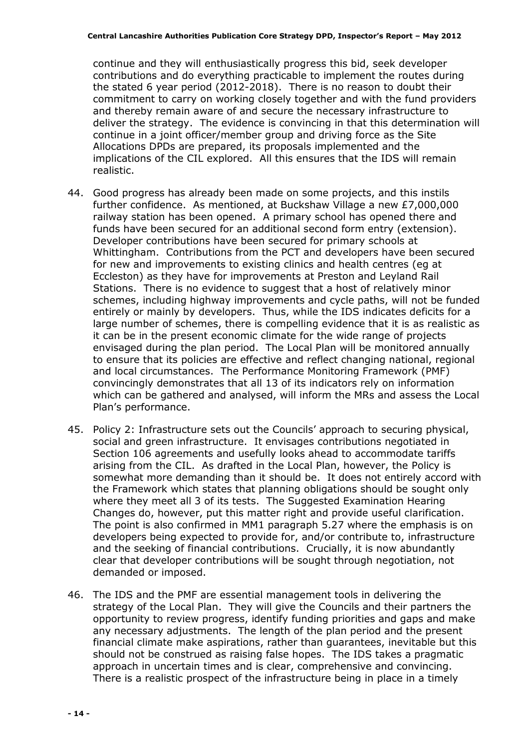continue and they will enthusiastically progress this bid, seek developer contributions and do everything practicable to implement the routes during the stated 6 year period (2012-2018). There is no reason to doubt their commitment to carry on working closely together and with the fund providers and thereby remain aware of and secure the necessary infrastructure to deliver the strategy. The evidence is convincing in that this determination will continue in a joint officer/member group and driving force as the Site Allocations DPDs are prepared, its proposals implemented and the implications of the CIL explored. All this ensures that the IDS will remain realistic.

- 44. Good progress has already been made on some projects, and this instils further confidence. As mentioned, at Buckshaw Village a new £7,000,000 railway station has been opened. A primary school has opened there and funds have been secured for an additional second form entry (extension). Developer contributions have been secured for primary schools at Whittingham. Contributions from the PCT and developers have been secured for new and improvements to existing clinics and health centres (eg at Eccleston) as they have for improvements at Preston and Leyland Rail Stations. There is no evidence to suggest that a host of relatively minor schemes, including highway improvements and cycle paths, will not be funded entirely or mainly by developers. Thus, while the IDS indicates deficits for a large number of schemes, there is compelling evidence that it is as realistic as it can be in the present economic climate for the wide range of projects envisaged during the plan period. The Local Plan will be monitored annually to ensure that its policies are effective and reflect changing national, regional and local circumstances. The Performance Monitoring Framework (PMF) convincingly demonstrates that all 13 of its indicators rely on information which can be gathered and analysed, will inform the MRs and assess the Local Plan's performance.
- 45. Policy 2: Infrastructure sets out the Councils' approach to securing physical, social and green infrastructure. It envisages contributions negotiated in Section 106 agreements and usefully looks ahead to accommodate tariffs arising from the CIL. As drafted in the Local Plan, however, the Policy is somewhat more demanding than it should be. It does not entirely accord with the Framework which states that planning obligations should be sought only where they meet all 3 of its tests. The Suggested Examination Hearing Changes do, however, put this matter right and provide useful clarification. The point is also confirmed in MM1 paragraph 5.27 where the emphasis is on developers being expected to provide for, and/or contribute to, infrastructure and the seeking of financial contributions. Crucially, it is now abundantly clear that developer contributions will be sought through negotiation, not demanded or imposed.
- 46. The IDS and the PMF are essential management tools in delivering the strategy of the Local Plan. They will give the Councils and their partners the opportunity to review progress, identify funding priorities and gaps and make any necessary adjustments. The length of the plan period and the present financial climate make aspirations, rather than guarantees, inevitable but this should not be construed as raising false hopes. The IDS takes a pragmatic approach in uncertain times and is clear, comprehensive and convincing. There is a realistic prospect of the infrastructure being in place in a timely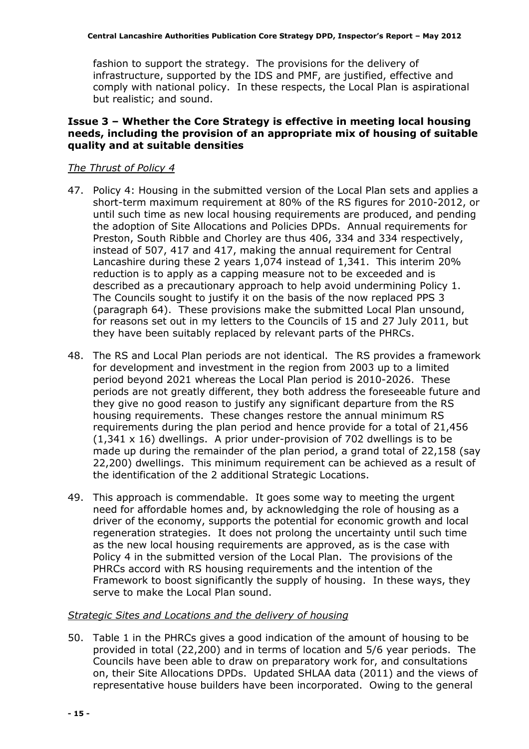fashion to support the strategy. The provisions for the delivery of infrastructure, supported by the IDS and PMF, are justified, effective and comply with national policy. In these respects, the Local Plan is aspirational but realistic; and sound.

## Issue 3 – Whether the Core Strategy is effective in meeting local housing needs, including the provision of an appropriate mix of housing of suitable quality and at suitable densities

#### The Thrust of Policy 4

- 47. Policy 4: Housing in the submitted version of the Local Plan sets and applies a short-term maximum requirement at 80% of the RS figures for 2010-2012, or until such time as new local housing requirements are produced, and pending the adoption of Site Allocations and Policies DPDs. Annual requirements for Preston, South Ribble and Chorley are thus 406, 334 and 334 respectively, instead of 507, 417 and 417, making the annual requirement for Central Lancashire during these 2 years 1,074 instead of 1,341. This interim 20% reduction is to apply as a capping measure not to be exceeded and is described as a precautionary approach to help avoid undermining Policy 1. The Councils sought to justify it on the basis of the now replaced PPS 3 (paragraph 64). These provisions make the submitted Local Plan unsound, for reasons set out in my letters to the Councils of 15 and 27 July 2011, but they have been suitably replaced by relevant parts of the PHRCs.
- 48. The RS and Local Plan periods are not identical. The RS provides a framework for development and investment in the region from 2003 up to a limited period beyond 2021 whereas the Local Plan period is 2010-2026. These periods are not greatly different, they both address the foreseeable future and they give no good reason to justify any significant departure from the RS housing requirements. These changes restore the annual minimum RS requirements during the plan period and hence provide for a total of 21,456 (1,341 x 16) dwellings. A prior under-provision of 702 dwellings is to be made up during the remainder of the plan period, a grand total of 22,158 (say 22,200) dwellings. This minimum requirement can be achieved as a result of the identification of the 2 additional Strategic Locations.
- 49. This approach is commendable. It goes some way to meeting the urgent need for affordable homes and, by acknowledging the role of housing as a driver of the economy, supports the potential for economic growth and local regeneration strategies. It does not prolong the uncertainty until such time as the new local housing requirements are approved, as is the case with Policy 4 in the submitted version of the Local Plan. The provisions of the PHRCs accord with RS housing requirements and the intention of the Framework to boost significantly the supply of housing. In these ways, they serve to make the Local Plan sound.

#### Strategic Sites and Locations and the delivery of housing

50. Table 1 in the PHRCs gives a good indication of the amount of housing to be provided in total (22,200) and in terms of location and 5/6 year periods. The Councils have been able to draw on preparatory work for, and consultations on, their Site Allocations DPDs. Updated SHLAA data (2011) and the views of representative house builders have been incorporated. Owing to the general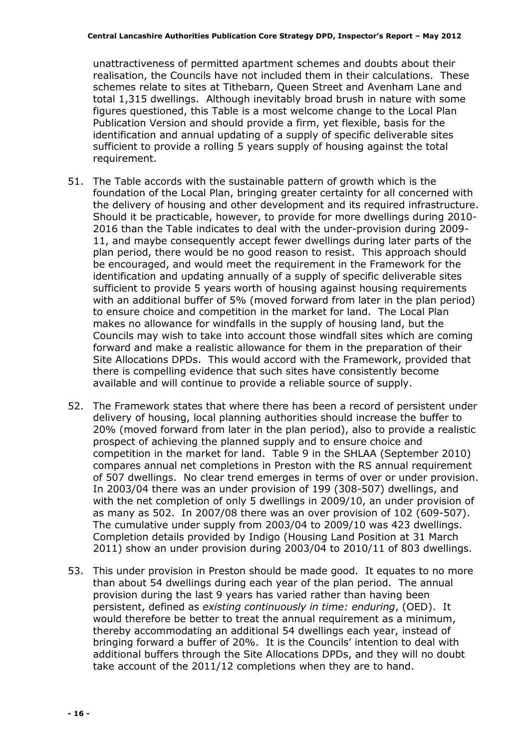unattractiveness of permitted apartment schemes and doubts about their realisation, the Councils have not included them in their calculations. These schemes relate to sites at Tithebarn, Queen Street and Avenham Lane and total 1,315 dwellings. Although inevitably broad brush in nature with some figures questioned, this Table is a most welcome change to the Local Plan Publication Version and should provide a firm, yet flexible, basis for the identification and annual updating of a supply of specific deliverable sites sufficient to provide a rolling 5 years supply of housing against the total requirement.

- 51. The Table accords with the sustainable pattern of growth which is the foundation of the Local Plan, bringing greater certainty for all concerned with the delivery of housing and other development and its required infrastructure. Should it be practicable, however, to provide for more dwellings during 2010- 2016 than the Table indicates to deal with the under-provision during 2009- 11, and maybe consequently accept fewer dwellings during later parts of the plan period, there would be no good reason to resist. This approach should be encouraged, and would meet the requirement in the Framework for the identification and updating annually of a supply of specific deliverable sites sufficient to provide 5 years worth of housing against housing requirements with an additional buffer of 5% (moved forward from later in the plan period) to ensure choice and competition in the market for land. The Local Plan makes no allowance for windfalls in the supply of housing land, but the Councils may wish to take into account those windfall sites which are coming forward and make a realistic allowance for them in the preparation of their Site Allocations DPDs. This would accord with the Framework, provided that there is compelling evidence that such sites have consistently become available and will continue to provide a reliable source of supply.
- 52. The Framework states that where there has been a record of persistent under delivery of housing, local planning authorities should increase the buffer to 20% (moved forward from later in the plan period), also to provide a realistic prospect of achieving the planned supply and to ensure choice and competition in the market for land. Table 9 in the SHLAA (September 2010) compares annual net completions in Preston with the RS annual requirement of 507 dwellings. No clear trend emerges in terms of over or under provision. In 2003/04 there was an under provision of 199 (308-507) dwellings, and with the net completion of only 5 dwellings in 2009/10, an under provision of as many as 502. In 2007/08 there was an over provision of 102 (609-507). The cumulative under supply from 2003/04 to 2009/10 was 423 dwellings. Completion details provided by Indigo (Housing Land Position at 31 March 2011) show an under provision during 2003/04 to 2010/11 of 803 dwellings.
- 53. This under provision in Preston should be made good. It equates to no more than about 54 dwellings during each year of the plan period. The annual provision during the last 9 years has varied rather than having been persistent, defined as existing continuously in time: enduring, (OED). It would therefore be better to treat the annual requirement as a minimum, thereby accommodating an additional 54 dwellings each year, instead of bringing forward a buffer of 20%. It is the Councils' intention to deal with additional buffers through the Site Allocations DPDs, and they will no doubt take account of the 2011/12 completions when they are to hand.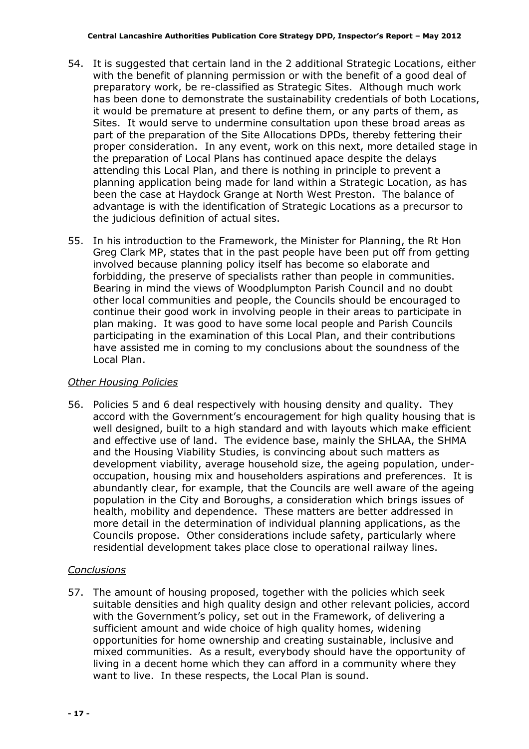- 54. It is suggested that certain land in the 2 additional Strategic Locations, either with the benefit of planning permission or with the benefit of a good deal of preparatory work, be re-classified as Strategic Sites. Although much work has been done to demonstrate the sustainability credentials of both Locations, it would be premature at present to define them, or any parts of them, as Sites. It would serve to undermine consultation upon these broad areas as part of the preparation of the Site Allocations DPDs, thereby fettering their proper consideration. In any event, work on this next, more detailed stage in the preparation of Local Plans has continued apace despite the delays attending this Local Plan, and there is nothing in principle to prevent a planning application being made for land within a Strategic Location, as has been the case at Haydock Grange at North West Preston. The balance of advantage is with the identification of Strategic Locations as a precursor to the judicious definition of actual sites.
- 55. In his introduction to the Framework, the Minister for Planning, the Rt Hon Greg Clark MP, states that in the past people have been put off from getting involved because planning policy itself has become so elaborate and forbidding, the preserve of specialists rather than people in communities. Bearing in mind the views of Woodplumpton Parish Council and no doubt other local communities and people, the Councils should be encouraged to continue their good work in involving people in their areas to participate in plan making. It was good to have some local people and Parish Councils participating in the examination of this Local Plan, and their contributions have assisted me in coming to my conclusions about the soundness of the Local Plan.

#### Other Housing Policies

56. Policies 5 and 6 deal respectively with housing density and quality. They accord with the Government's encouragement for high quality housing that is well designed, built to a high standard and with layouts which make efficient and effective use of land. The evidence base, mainly the SHLAA, the SHMA and the Housing Viability Studies, is convincing about such matters as development viability, average household size, the ageing population, underoccupation, housing mix and householders aspirations and preferences. It is abundantly clear, for example, that the Councils are well aware of the ageing population in the City and Boroughs, a consideration which brings issues of health, mobility and dependence. These matters are better addressed in more detail in the determination of individual planning applications, as the Councils propose. Other considerations include safety, particularly where residential development takes place close to operational railway lines.

## **Conclusions**

57. The amount of housing proposed, together with the policies which seek suitable densities and high quality design and other relevant policies, accord with the Government's policy, set out in the Framework, of delivering a sufficient amount and wide choice of high quality homes, widening opportunities for home ownership and creating sustainable, inclusive and mixed communities. As a result, everybody should have the opportunity of living in a decent home which they can afford in a community where they want to live. In these respects, the Local Plan is sound.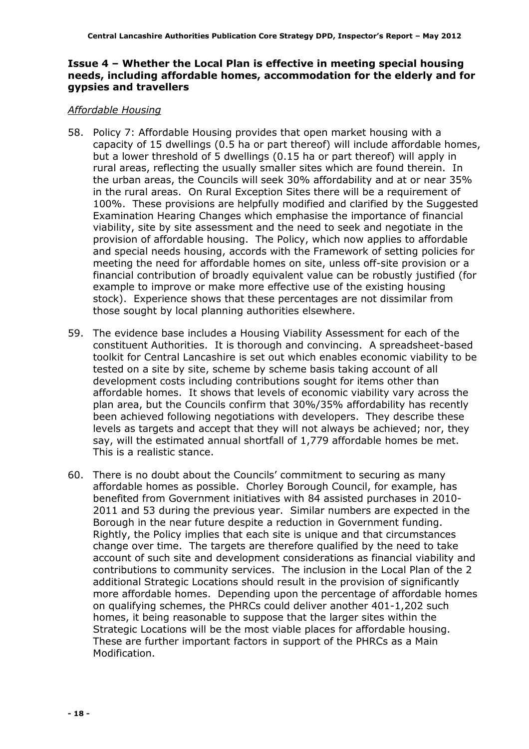#### Issue 4 – Whether the Local Plan is effective in meeting special housing needs, including affordable homes, accommodation for the elderly and for gypsies and travellers

#### Affordable Housing

- 58. Policy 7: Affordable Housing provides that open market housing with a capacity of 15 dwellings (0.5 ha or part thereof) will include affordable homes, but a lower threshold of 5 dwellings (0.15 ha or part thereof) will apply in rural areas, reflecting the usually smaller sites which are found therein. In the urban areas, the Councils will seek 30% affordability and at or near 35% in the rural areas. On Rural Exception Sites there will be a requirement of 100%. These provisions are helpfully modified and clarified by the Suggested Examination Hearing Changes which emphasise the importance of financial viability, site by site assessment and the need to seek and negotiate in the provision of affordable housing. The Policy, which now applies to affordable and special needs housing, accords with the Framework of setting policies for meeting the need for affordable homes on site, unless off-site provision or a financial contribution of broadly equivalent value can be robustly justified (for example to improve or make more effective use of the existing housing stock). Experience shows that these percentages are not dissimilar from those sought by local planning authorities elsewhere.
- 59. The evidence base includes a Housing Viability Assessment for each of the constituent Authorities. It is thorough and convincing. A spreadsheet-based toolkit for Central Lancashire is set out which enables economic viability to be tested on a site by site, scheme by scheme basis taking account of all development costs including contributions sought for items other than affordable homes. It shows that levels of economic viability vary across the plan area, but the Councils confirm that 30%/35% affordability has recently been achieved following negotiations with developers. They describe these levels as targets and accept that they will not always be achieved; nor, they say, will the estimated annual shortfall of 1,779 affordable homes be met. This is a realistic stance.
- 60. There is no doubt about the Councils' commitment to securing as many affordable homes as possible. Chorley Borough Council, for example, has benefited from Government initiatives with 84 assisted purchases in 2010- 2011 and 53 during the previous year. Similar numbers are expected in the Borough in the near future despite a reduction in Government funding. Rightly, the Policy implies that each site is unique and that circumstances change over time. The targets are therefore qualified by the need to take account of such site and development considerations as financial viability and contributions to community services. The inclusion in the Local Plan of the 2 additional Strategic Locations should result in the provision of significantly more affordable homes. Depending upon the percentage of affordable homes on qualifying schemes, the PHRCs could deliver another 401-1,202 such homes, it being reasonable to suppose that the larger sites within the Strategic Locations will be the most viable places for affordable housing. These are further important factors in support of the PHRCs as a Main Modification.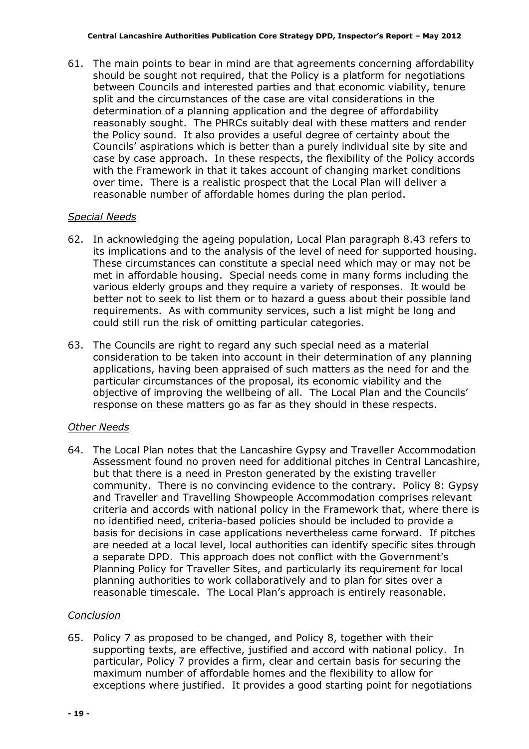61. The main points to bear in mind are that agreements concerning affordability should be sought not required, that the Policy is a platform for negotiations between Councils and interested parties and that economic viability, tenure split and the circumstances of the case are vital considerations in the determination of a planning application and the degree of affordability reasonably sought. The PHRCs suitably deal with these matters and render the Policy sound. It also provides a useful degree of certainty about the Councils' aspirations which is better than a purely individual site by site and case by case approach. In these respects, the flexibility of the Policy accords with the Framework in that it takes account of changing market conditions over time. There is a realistic prospect that the Local Plan will deliver a reasonable number of affordable homes during the plan period.

## Special Needs

- 62. In acknowledging the ageing population, Local Plan paragraph 8.43 refers to its implications and to the analysis of the level of need for supported housing. These circumstances can constitute a special need which may or may not be met in affordable housing. Special needs come in many forms including the various elderly groups and they require a variety of responses. It would be better not to seek to list them or to hazard a guess about their possible land requirements. As with community services, such a list might be long and could still run the risk of omitting particular categories.
- 63. The Councils are right to regard any such special need as a material consideration to be taken into account in their determination of any planning applications, having been appraised of such matters as the need for and the particular circumstances of the proposal, its economic viability and the objective of improving the wellbeing of all. The Local Plan and the Councils' response on these matters go as far as they should in these respects.

#### Other Needs

64. The Local Plan notes that the Lancashire Gypsy and Traveller Accommodation Assessment found no proven need for additional pitches in Central Lancashire, but that there is a need in Preston generated by the existing traveller community. There is no convincing evidence to the contrary. Policy 8: Gypsy and Traveller and Travelling Showpeople Accommodation comprises relevant criteria and accords with national policy in the Framework that, where there is no identified need, criteria-based policies should be included to provide a basis for decisions in case applications nevertheless came forward. If pitches are needed at a local level, local authorities can identify specific sites through a separate DPD. This approach does not conflict with the Government's Planning Policy for Traveller Sites, and particularly its requirement for local planning authorities to work collaboratively and to plan for sites over a reasonable timescale. The Local Plan's approach is entirely reasonable.

#### **Conclusion**

65. Policy 7 as proposed to be changed, and Policy 8, together with their supporting texts, are effective, justified and accord with national policy. In particular, Policy 7 provides a firm, clear and certain basis for securing the maximum number of affordable homes and the flexibility to allow for exceptions where justified. It provides a good starting point for negotiations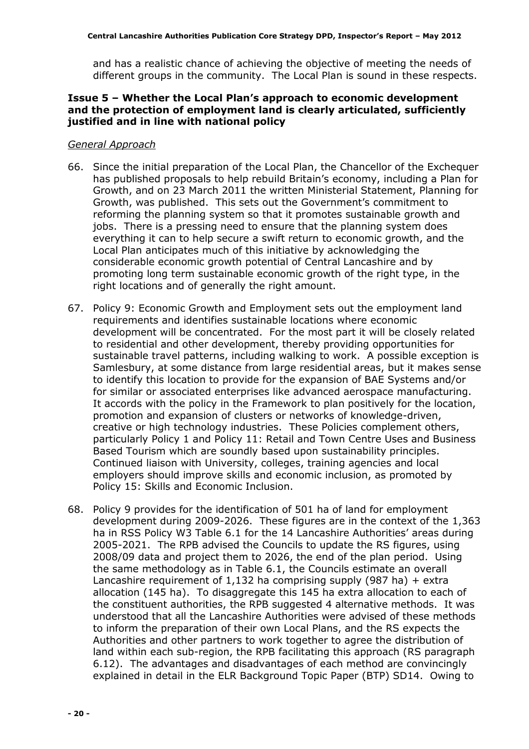and has a realistic chance of achieving the objective of meeting the needs of different groups in the community. The Local Plan is sound in these respects.

#### Issue 5 – Whether the Local Plan's approach to economic development and the protection of employment land is clearly articulated, sufficiently justified and in line with national policy

#### General Approach

- 66. Since the initial preparation of the Local Plan, the Chancellor of the Exchequer has published proposals to help rebuild Britain's economy, including a Plan for Growth, and on 23 March 2011 the written Ministerial Statement, Planning for Growth, was published. This sets out the Government's commitment to reforming the planning system so that it promotes sustainable growth and jobs. There is a pressing need to ensure that the planning system does everything it can to help secure a swift return to economic growth, and the Local Plan anticipates much of this initiative by acknowledging the considerable economic growth potential of Central Lancashire and by promoting long term sustainable economic growth of the right type, in the right locations and of generally the right amount.
- 67. Policy 9: Economic Growth and Employment sets out the employment land requirements and identifies sustainable locations where economic development will be concentrated. For the most part it will be closely related to residential and other development, thereby providing opportunities for sustainable travel patterns, including walking to work. A possible exception is Samlesbury, at some distance from large residential areas, but it makes sense to identify this location to provide for the expansion of BAE Systems and/or for similar or associated enterprises like advanced aerospace manufacturing. It accords with the policy in the Framework to plan positively for the location, promotion and expansion of clusters or networks of knowledge-driven, creative or high technology industries. These Policies complement others, particularly Policy 1 and Policy 11: Retail and Town Centre Uses and Business Based Tourism which are soundly based upon sustainability principles. Continued liaison with University, colleges, training agencies and local employers should improve skills and economic inclusion, as promoted by Policy 15: Skills and Economic Inclusion.
- 68. Policy 9 provides for the identification of 501 ha of land for employment development during 2009-2026. These figures are in the context of the 1,363 ha in RSS Policy W3 Table 6.1 for the 14 Lancashire Authorities' areas during 2005-2021. The RPB advised the Councils to update the RS figures, using 2008/09 data and project them to 2026, the end of the plan period. Using the same methodology as in Table 6.1, the Councils estimate an overall Lancashire requirement of 1,132 ha comprising supply (987 ha)  $+$  extra allocation (145 ha). To disaggregate this 145 ha extra allocation to each of the constituent authorities, the RPB suggested 4 alternative methods. It was understood that all the Lancashire Authorities were advised of these methods to inform the preparation of their own Local Plans, and the RS expects the Authorities and other partners to work together to agree the distribution of land within each sub-region, the RPB facilitating this approach (RS paragraph 6.12). The advantages and disadvantages of each method are convincingly explained in detail in the ELR Background Topic Paper (BTP) SD14. Owing to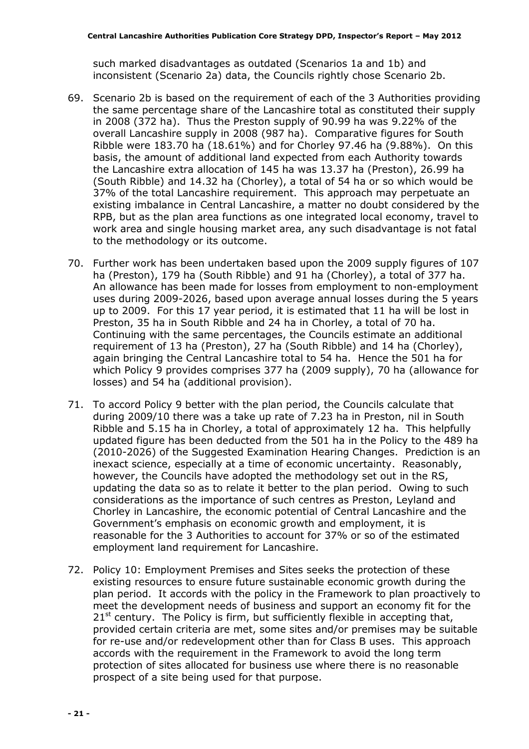such marked disadvantages as outdated (Scenarios 1a and 1b) and inconsistent (Scenario 2a) data, the Councils rightly chose Scenario 2b.

- 69. Scenario 2b is based on the requirement of each of the 3 Authorities providing the same percentage share of the Lancashire total as constituted their supply in 2008 (372 ha). Thus the Preston supply of 90.99 ha was 9.22% of the overall Lancashire supply in 2008 (987 ha). Comparative figures for South Ribble were 183.70 ha (18.61%) and for Chorley 97.46 ha (9.88%). On this basis, the amount of additional land expected from each Authority towards the Lancashire extra allocation of 145 ha was 13.37 ha (Preston), 26.99 ha (South Ribble) and 14.32 ha (Chorley), a total of 54 ha or so which would be 37% of the total Lancashire requirement. This approach may perpetuate an existing imbalance in Central Lancashire, a matter no doubt considered by the RPB, but as the plan area functions as one integrated local economy, travel to work area and single housing market area, any such disadvantage is not fatal to the methodology or its outcome.
- 70. Further work has been undertaken based upon the 2009 supply figures of 107 ha (Preston), 179 ha (South Ribble) and 91 ha (Chorley), a total of 377 ha. An allowance has been made for losses from employment to non-employment uses during 2009-2026, based upon average annual losses during the 5 years up to 2009. For this 17 year period, it is estimated that 11 ha will be lost in Preston, 35 ha in South Ribble and 24 ha in Chorley, a total of 70 ha. Continuing with the same percentages, the Councils estimate an additional requirement of 13 ha (Preston), 27 ha (South Ribble) and 14 ha (Chorley), again bringing the Central Lancashire total to 54 ha. Hence the 501 ha for which Policy 9 provides comprises 377 ha (2009 supply), 70 ha (allowance for losses) and 54 ha (additional provision).
- 71. To accord Policy 9 better with the plan period, the Councils calculate that during 2009/10 there was a take up rate of 7.23 ha in Preston, nil in South Ribble and 5.15 ha in Chorley, a total of approximately 12 ha. This helpfully updated figure has been deducted from the 501 ha in the Policy to the 489 ha (2010-2026) of the Suggested Examination Hearing Changes. Prediction is an inexact science, especially at a time of economic uncertainty. Reasonably, however, the Councils have adopted the methodology set out in the RS, updating the data so as to relate it better to the plan period. Owing to such considerations as the importance of such centres as Preston, Leyland and Chorley in Lancashire, the economic potential of Central Lancashire and the Government's emphasis on economic growth and employment, it is reasonable for the 3 Authorities to account for 37% or so of the estimated employment land requirement for Lancashire.
- 72. Policy 10: Employment Premises and Sites seeks the protection of these existing resources to ensure future sustainable economic growth during the plan period. It accords with the policy in the Framework to plan proactively to meet the development needs of business and support an economy fit for the  $21<sup>st</sup>$  century. The Policy is firm, but sufficiently flexible in accepting that, provided certain criteria are met, some sites and/or premises may be suitable for re-use and/or redevelopment other than for Class B uses. This approach accords with the requirement in the Framework to avoid the long term protection of sites allocated for business use where there is no reasonable prospect of a site being used for that purpose.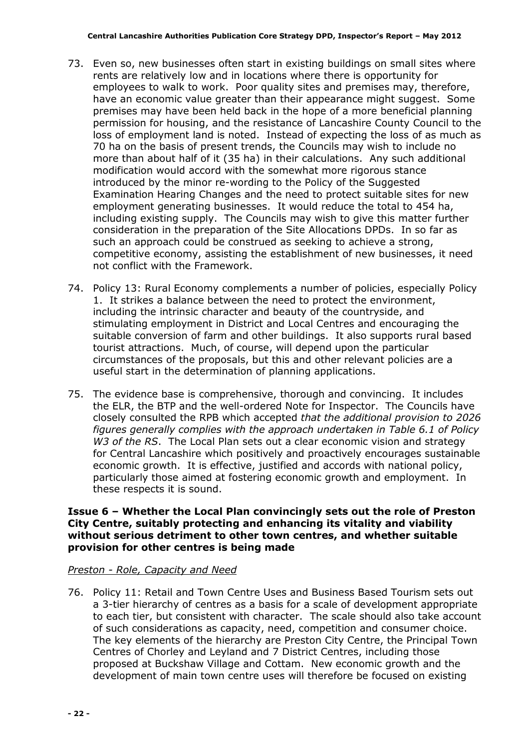- 73. Even so, new businesses often start in existing buildings on small sites where rents are relatively low and in locations where there is opportunity for employees to walk to work. Poor quality sites and premises may, therefore, have an economic value greater than their appearance might suggest. Some premises may have been held back in the hope of a more beneficial planning permission for housing, and the resistance of Lancashire County Council to the loss of employment land is noted. Instead of expecting the loss of as much as 70 ha on the basis of present trends, the Councils may wish to include no more than about half of it (35 ha) in their calculations. Any such additional modification would accord with the somewhat more rigorous stance introduced by the minor re-wording to the Policy of the Suggested Examination Hearing Changes and the need to protect suitable sites for new employment generating businesses. It would reduce the total to 454 ha, including existing supply. The Councils may wish to give this matter further consideration in the preparation of the Site Allocations DPDs. In so far as such an approach could be construed as seeking to achieve a strong, competitive economy, assisting the establishment of new businesses, it need not conflict with the Framework.
- 74. Policy 13: Rural Economy complements a number of policies, especially Policy 1. It strikes a balance between the need to protect the environment, including the intrinsic character and beauty of the countryside, and stimulating employment in District and Local Centres and encouraging the suitable conversion of farm and other buildings. It also supports rural based tourist attractions. Much, of course, will depend upon the particular circumstances of the proposals, but this and other relevant policies are a useful start in the determination of planning applications.
- 75. The evidence base is comprehensive, thorough and convincing. It includes the ELR, the BTP and the well-ordered Note for Inspector. The Councils have closely consulted the RPB which accepted that the additional provision to 2026 figures generally complies with the approach undertaken in Table 6.1 of Policy W3 of the RS. The Local Plan sets out a clear economic vision and strategy for Central Lancashire which positively and proactively encourages sustainable economic growth. It is effective, justified and accords with national policy, particularly those aimed at fostering economic growth and employment. In these respects it is sound.

#### Issue 6 – Whether the Local Plan convincingly sets out the role of Preston City Centre, suitably protecting and enhancing its vitality and viability without serious detriment to other town centres, and whether suitable provision for other centres is being made

#### Preston - Role, Capacity and Need

76. Policy 11: Retail and Town Centre Uses and Business Based Tourism sets out a 3-tier hierarchy of centres as a basis for a scale of development appropriate to each tier, but consistent with character. The scale should also take account of such considerations as capacity, need, competition and consumer choice. The key elements of the hierarchy are Preston City Centre, the Principal Town Centres of Chorley and Leyland and 7 District Centres, including those proposed at Buckshaw Village and Cottam. New economic growth and the development of main town centre uses will therefore be focused on existing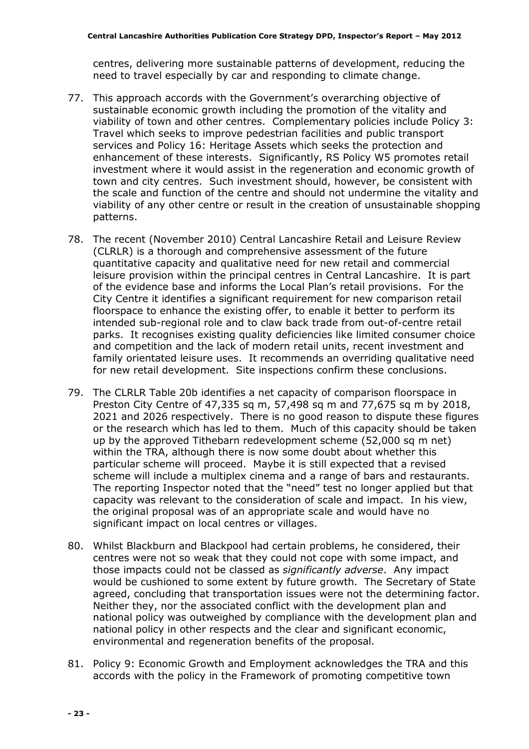centres, delivering more sustainable patterns of development, reducing the need to travel especially by car and responding to climate change.

- 77. This approach accords with the Government's overarching objective of sustainable economic growth including the promotion of the vitality and viability of town and other centres. Complementary policies include Policy 3: Travel which seeks to improve pedestrian facilities and public transport services and Policy 16: Heritage Assets which seeks the protection and enhancement of these interests. Significantly, RS Policy W5 promotes retail investment where it would assist in the regeneration and economic growth of town and city centres. Such investment should, however, be consistent with the scale and function of the centre and should not undermine the vitality and viability of any other centre or result in the creation of unsustainable shopping patterns.
- 78. The recent (November 2010) Central Lancashire Retail and Leisure Review (CLRLR) is a thorough and comprehensive assessment of the future quantitative capacity and qualitative need for new retail and commercial leisure provision within the principal centres in Central Lancashire. It is part of the evidence base and informs the Local Plan's retail provisions. For the City Centre it identifies a significant requirement for new comparison retail floorspace to enhance the existing offer, to enable it better to perform its intended sub-regional role and to claw back trade from out-of-centre retail parks. It recognises existing quality deficiencies like limited consumer choice and competition and the lack of modern retail units, recent investment and family orientated leisure uses. It recommends an overriding qualitative need for new retail development. Site inspections confirm these conclusions.
- 79. The CLRLR Table 20b identifies a net capacity of comparison floorspace in Preston City Centre of 47,335 sq m, 57,498 sq m and 77,675 sq m by 2018, 2021 and 2026 respectively. There is no good reason to dispute these figures or the research which has led to them. Much of this capacity should be taken up by the approved Tithebarn redevelopment scheme (52,000 sq m net) within the TRA, although there is now some doubt about whether this particular scheme will proceed. Maybe it is still expected that a revised scheme will include a multiplex cinema and a range of bars and restaurants. The reporting Inspector noted that the "need" test no longer applied but that capacity was relevant to the consideration of scale and impact. In his view, the original proposal was of an appropriate scale and would have no significant impact on local centres or villages.
- 80. Whilst Blackburn and Blackpool had certain problems, he considered, their centres were not so weak that they could not cope with some impact, and those impacts could not be classed as significantly adverse. Any impact would be cushioned to some extent by future growth. The Secretary of State agreed, concluding that transportation issues were not the determining factor. Neither they, nor the associated conflict with the development plan and national policy was outweighed by compliance with the development plan and national policy in other respects and the clear and significant economic, environmental and regeneration benefits of the proposal.
- 81. Policy 9: Economic Growth and Employment acknowledges the TRA and this accords with the policy in the Framework of promoting competitive town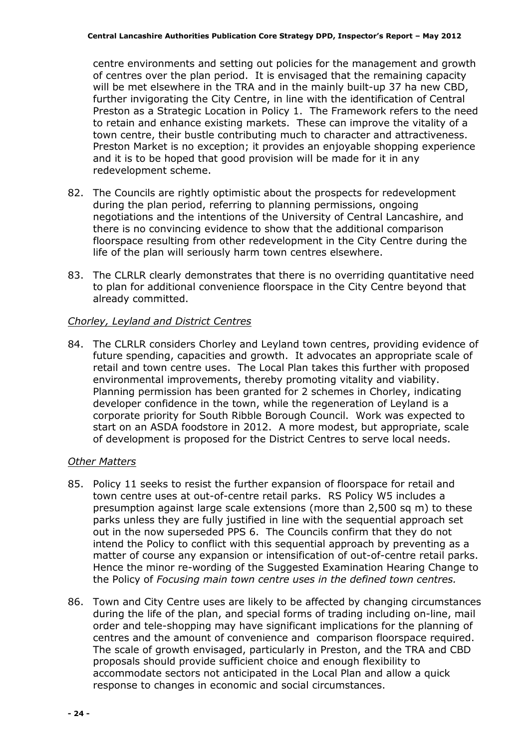centre environments and setting out policies for the management and growth of centres over the plan period. It is envisaged that the remaining capacity will be met elsewhere in the TRA and in the mainly built-up 37 ha new CBD, further invigorating the City Centre, in line with the identification of Central Preston as a Strategic Location in Policy 1. The Framework refers to the need to retain and enhance existing markets. These can improve the vitality of a town centre, their bustle contributing much to character and attractiveness. Preston Market is no exception; it provides an enjoyable shopping experience and it is to be hoped that good provision will be made for it in any redevelopment scheme.

- 82. The Councils are rightly optimistic about the prospects for redevelopment during the plan period, referring to planning permissions, ongoing negotiations and the intentions of the University of Central Lancashire, and there is no convincing evidence to show that the additional comparison floorspace resulting from other redevelopment in the City Centre during the life of the plan will seriously harm town centres elsewhere.
- 83. The CLRLR clearly demonstrates that there is no overriding quantitative need to plan for additional convenience floorspace in the City Centre beyond that already committed.

## Chorley, Leyland and District Centres

84. The CLRLR considers Chorley and Leyland town centres, providing evidence of future spending, capacities and growth. It advocates an appropriate scale of retail and town centre uses. The Local Plan takes this further with proposed environmental improvements, thereby promoting vitality and viability. Planning permission has been granted for 2 schemes in Chorley, indicating developer confidence in the town, while the regeneration of Leyland is a corporate priority for South Ribble Borough Council. Work was expected to start on an ASDA foodstore in 2012. A more modest, but appropriate, scale of development is proposed for the District Centres to serve local needs.

## Other Matters

- 85. Policy 11 seeks to resist the further expansion of floorspace for retail and town centre uses at out-of-centre retail parks. RS Policy W5 includes a presumption against large scale extensions (more than 2,500 sq m) to these parks unless they are fully justified in line with the sequential approach set out in the now superseded PPS 6. The Councils confirm that they do not intend the Policy to conflict with this sequential approach by preventing as a matter of course any expansion or intensification of out-of-centre retail parks. Hence the minor re-wording of the Suggested Examination Hearing Change to the Policy of Focusing main town centre uses in the defined town centres.
- 86. Town and City Centre uses are likely to be affected by changing circumstances during the life of the plan, and special forms of trading including on-line, mail order and tele-shopping may have significant implications for the planning of centres and the amount of convenience and comparison floorspace required. The scale of growth envisaged, particularly in Preston, and the TRA and CBD proposals should provide sufficient choice and enough flexibility to accommodate sectors not anticipated in the Local Plan and allow a quick response to changes in economic and social circumstances.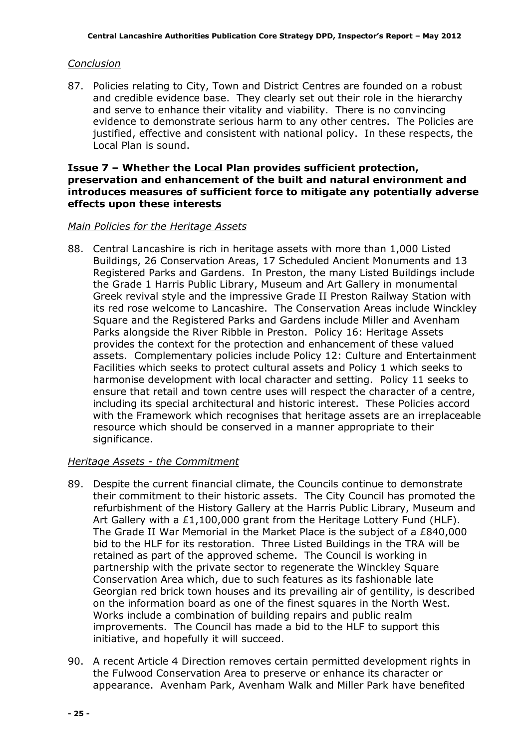## Conclusion

87. Policies relating to City, Town and District Centres are founded on a robust and credible evidence base. They clearly set out their role in the hierarchy and serve to enhance their vitality and viability. There is no convincing evidence to demonstrate serious harm to any other centres. The Policies are justified, effective and consistent with national policy. In these respects, the Local Plan is sound.

#### Issue 7 – Whether the Local Plan provides sufficient protection, preservation and enhancement of the built and natural environment and introduces measures of sufficient force to mitigate any potentially adverse effects upon these interests

#### Main Policies for the Heritage Assets

88. Central Lancashire is rich in heritage assets with more than 1,000 Listed Buildings, 26 Conservation Areas, 17 Scheduled Ancient Monuments and 13 Registered Parks and Gardens. In Preston, the many Listed Buildings include the Grade 1 Harris Public Library, Museum and Art Gallery in monumental Greek revival style and the impressive Grade II Preston Railway Station with its red rose welcome to Lancashire. The Conservation Areas include Winckley Square and the Registered Parks and Gardens include Miller and Avenham Parks alongside the River Ribble in Preston. Policy 16: Heritage Assets provides the context for the protection and enhancement of these valued assets. Complementary policies include Policy 12: Culture and Entertainment Facilities which seeks to protect cultural assets and Policy 1 which seeks to harmonise development with local character and setting. Policy 11 seeks to ensure that retail and town centre uses will respect the character of a centre, including its special architectural and historic interest. These Policies accord with the Framework which recognises that heritage assets are an irreplaceable resource which should be conserved in a manner appropriate to their significance.

## Heritage Assets - the Commitment

- 89. Despite the current financial climate, the Councils continue to demonstrate their commitment to their historic assets. The City Council has promoted the refurbishment of the History Gallery at the Harris Public Library, Museum and Art Gallery with a £1,100,000 grant from the Heritage Lottery Fund (HLF). The Grade II War Memorial in the Market Place is the subject of a £840,000 bid to the HLF for its restoration. Three Listed Buildings in the TRA will be retained as part of the approved scheme. The Council is working in partnership with the private sector to regenerate the Winckley Square Conservation Area which, due to such features as its fashionable late Georgian red brick town houses and its prevailing air of gentility, is described on the information board as one of the finest squares in the North West. Works include a combination of building repairs and public realm improvements. The Council has made a bid to the HLF to support this initiative, and hopefully it will succeed.
- 90. A recent Article 4 Direction removes certain permitted development rights in the Fulwood Conservation Area to preserve or enhance its character or appearance. Avenham Park, Avenham Walk and Miller Park have benefited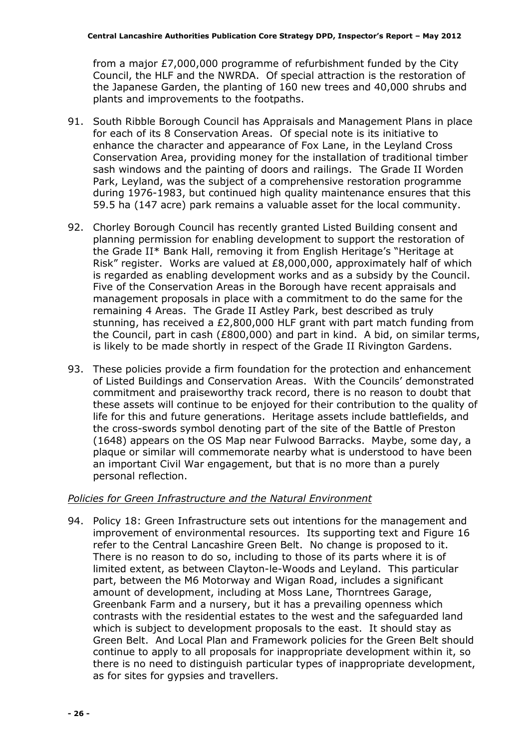from a major £7,000,000 programme of refurbishment funded by the City Council, the HLF and the NWRDA. Of special attraction is the restoration of the Japanese Garden, the planting of 160 new trees and 40,000 shrubs and plants and improvements to the footpaths.

- 91. South Ribble Borough Council has Appraisals and Management Plans in place for each of its 8 Conservation Areas. Of special note is its initiative to enhance the character and appearance of Fox Lane, in the Leyland Cross Conservation Area, providing money for the installation of traditional timber sash windows and the painting of doors and railings. The Grade II Worden Park, Leyland, was the subject of a comprehensive restoration programme during 1976-1983, but continued high quality maintenance ensures that this 59.5 ha (147 acre) park remains a valuable asset for the local community.
- 92. Chorley Borough Council has recently granted Listed Building consent and planning permission for enabling development to support the restoration of the Grade II\* Bank Hall, removing it from English Heritage's "Heritage at Risk" register. Works are valued at £8,000,000, approximately half of which is regarded as enabling development works and as a subsidy by the Council. Five of the Conservation Areas in the Borough have recent appraisals and management proposals in place with a commitment to do the same for the remaining 4 Areas. The Grade II Astley Park, best described as truly stunning, has received a £2,800,000 HLF grant with part match funding from the Council, part in cash (£800,000) and part in kind. A bid, on similar terms, is likely to be made shortly in respect of the Grade II Rivington Gardens.
- 93. These policies provide a firm foundation for the protection and enhancement of Listed Buildings and Conservation Areas. With the Councils' demonstrated commitment and praiseworthy track record, there is no reason to doubt that these assets will continue to be enjoyed for their contribution to the quality of life for this and future generations. Heritage assets include battlefields, and the cross-swords symbol denoting part of the site of the Battle of Preston (1648) appears on the OS Map near Fulwood Barracks. Maybe, some day, a plaque or similar will commemorate nearby what is understood to have been an important Civil War engagement, but that is no more than a purely personal reflection.

#### Policies for Green Infrastructure and the Natural Environment

94. Policy 18: Green Infrastructure sets out intentions for the management and improvement of environmental resources. Its supporting text and Figure 16 refer to the Central Lancashire Green Belt. No change is proposed to it. There is no reason to do so, including to those of its parts where it is of limited extent, as between Clayton-le-Woods and Leyland. This particular part, between the M6 Motorway and Wigan Road, includes a significant amount of development, including at Moss Lane, Thorntrees Garage, Greenbank Farm and a nursery, but it has a prevailing openness which contrasts with the residential estates to the west and the safeguarded land which is subject to development proposals to the east. It should stay as Green Belt. And Local Plan and Framework policies for the Green Belt should continue to apply to all proposals for inappropriate development within it, so there is no need to distinguish particular types of inappropriate development, as for sites for gypsies and travellers.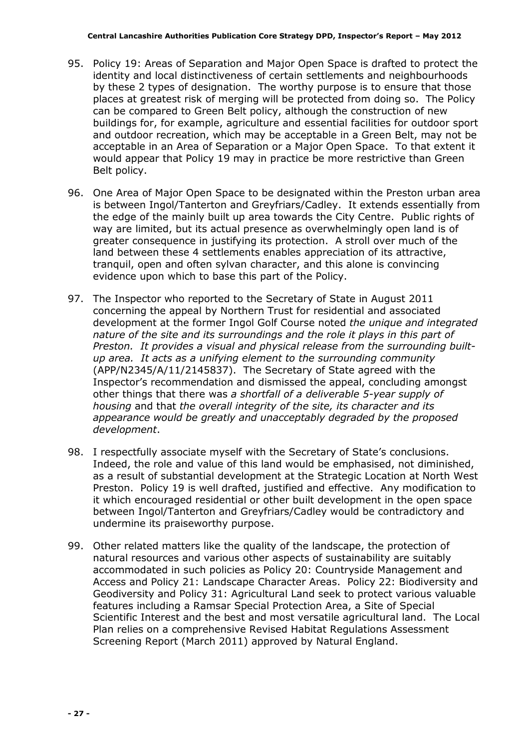- 95. Policy 19: Areas of Separation and Major Open Space is drafted to protect the identity and local distinctiveness of certain settlements and neighbourhoods by these 2 types of designation. The worthy purpose is to ensure that those places at greatest risk of merging will be protected from doing so. The Policy can be compared to Green Belt policy, although the construction of new buildings for, for example, agriculture and essential facilities for outdoor sport and outdoor recreation, which may be acceptable in a Green Belt, may not be acceptable in an Area of Separation or a Major Open Space. To that extent it would appear that Policy 19 may in practice be more restrictive than Green Belt policy.
- 96. One Area of Major Open Space to be designated within the Preston urban area is between Ingol/Tanterton and Greyfriars/Cadley. It extends essentially from the edge of the mainly built up area towards the City Centre. Public rights of way are limited, but its actual presence as overwhelmingly open land is of greater consequence in justifying its protection. A stroll over much of the land between these 4 settlements enables appreciation of its attractive, tranquil, open and often sylvan character, and this alone is convincing evidence upon which to base this part of the Policy.
- 97. The Inspector who reported to the Secretary of State in August 2011 concerning the appeal by Northern Trust for residential and associated development at the former Ingol Golf Course noted the unique and integrated nature of the site and its surroundings and the role it plays in this part of Preston. It provides a visual and physical release from the surrounding builtup area. It acts as a unifying element to the surrounding community (APP/N2345/A/11/2145837). The Secretary of State agreed with the Inspector's recommendation and dismissed the appeal, concluding amongst other things that there was a shortfall of a deliverable 5-year supply of housing and that the overall integrity of the site, its character and its appearance would be greatly and unacceptably degraded by the proposed development.
- 98. I respectfully associate myself with the Secretary of State's conclusions. Indeed, the role and value of this land would be emphasised, not diminished, as a result of substantial development at the Strategic Location at North West Preston. Policy 19 is well drafted, justified and effective. Any modification to it which encouraged residential or other built development in the open space between Ingol/Tanterton and Greyfriars/Cadley would be contradictory and undermine its praiseworthy purpose.
- 99. Other related matters like the quality of the landscape, the protection of natural resources and various other aspects of sustainability are suitably accommodated in such policies as Policy 20: Countryside Management and Access and Policy 21: Landscape Character Areas. Policy 22: Biodiversity and Geodiversity and Policy 31: Agricultural Land seek to protect various valuable features including a Ramsar Special Protection Area, a Site of Special Scientific Interest and the best and most versatile agricultural land. The Local Plan relies on a comprehensive Revised Habitat Regulations Assessment Screening Report (March 2011) approved by Natural England.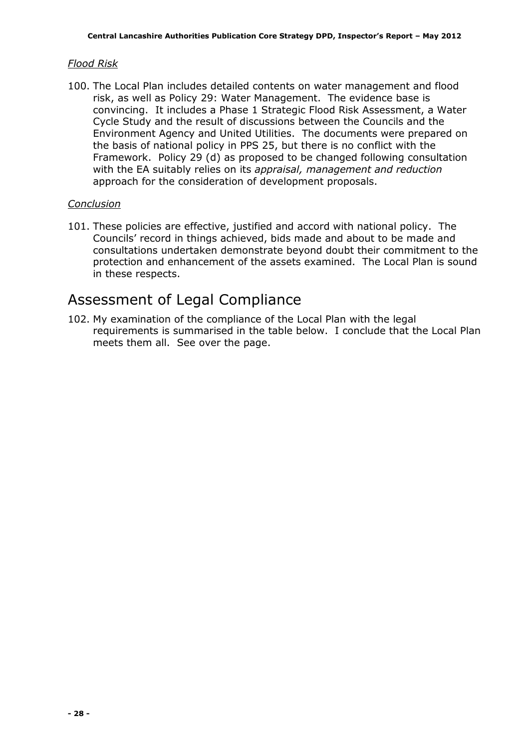## Flood Risk

100. The Local Plan includes detailed contents on water management and flood risk, as well as Policy 29: Water Management. The evidence base is convincing. It includes a Phase 1 Strategic Flood Risk Assessment, a Water Cycle Study and the result of discussions between the Councils and the Environment Agency and United Utilities. The documents were prepared on the basis of national policy in PPS 25, but there is no conflict with the Framework. Policy 29 (d) as proposed to be changed following consultation with the EA suitably relies on its appraisal, management and reduction approach for the consideration of development proposals.

## Conclusion

101. These policies are effective, justified and accord with national policy. The Councils' record in things achieved, bids made and about to be made and consultations undertaken demonstrate beyond doubt their commitment to the protection and enhancement of the assets examined. The Local Plan is sound in these respects.

## Assessment of Legal Compliance

102. My examination of the compliance of the Local Plan with the legal requirements is summarised in the table below. I conclude that the Local Plan meets them all. See over the page.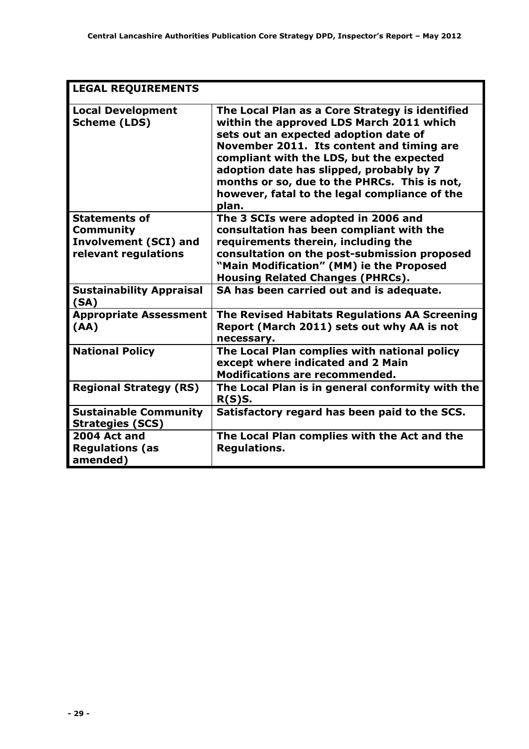| <b>LEGAL REQUIREMENTS</b>                                                                        |                                                                                                                                                                                                                                                                                                                                                                                     |  |  |
|--------------------------------------------------------------------------------------------------|-------------------------------------------------------------------------------------------------------------------------------------------------------------------------------------------------------------------------------------------------------------------------------------------------------------------------------------------------------------------------------------|--|--|
| <b>Local Development</b><br><b>Scheme (LDS)</b>                                                  | The Local Plan as a Core Strategy is identified<br>within the approved LDS March 2011 which<br>sets out an expected adoption date of<br>November 2011. Its content and timing are<br>compliant with the LDS, but the expected<br>adoption date has slipped, probably by 7<br>months or so, due to the PHRCs. This is not,<br>however, fatal to the legal compliance of the<br>plan. |  |  |
| <b>Statements of</b><br><b>Community</b><br><b>Involvement (SCI) and</b><br>relevant regulations | The 3 SCIs were adopted in 2006 and<br>consultation has been compliant with the<br>requirements therein, including the<br>consultation on the post-submission proposed<br>"Main Modification" (MM) ie the Proposed<br><b>Housing Related Changes (PHRCs).</b>                                                                                                                       |  |  |
| <b>Sustainability Appraisal</b><br>(SA)                                                          | SA has been carried out and is adequate.                                                                                                                                                                                                                                                                                                                                            |  |  |
| <b>Appropriate Assessment</b><br>(AA)                                                            | The Revised Habitats Regulations AA Screening<br>Report (March 2011) sets out why AA is not<br>necessary.                                                                                                                                                                                                                                                                           |  |  |
| <b>National Policy</b>                                                                           | The Local Plan complies with national policy<br>except where indicated and 2 Main<br><b>Modifications are recommended.</b>                                                                                                                                                                                                                                                          |  |  |
| <b>Regional Strategy (RS)</b>                                                                    | The Local Plan is in general conformity with the<br>R(S)S.                                                                                                                                                                                                                                                                                                                          |  |  |
| <b>Sustainable Community</b><br><b>Strategies (SCS)</b>                                          | Satisfactory regard has been paid to the SCS.                                                                                                                                                                                                                                                                                                                                       |  |  |
| 2004 Act and<br><b>Regulations (as</b><br>amended)                                               | The Local Plan complies with the Act and the<br><b>Regulations.</b>                                                                                                                                                                                                                                                                                                                 |  |  |